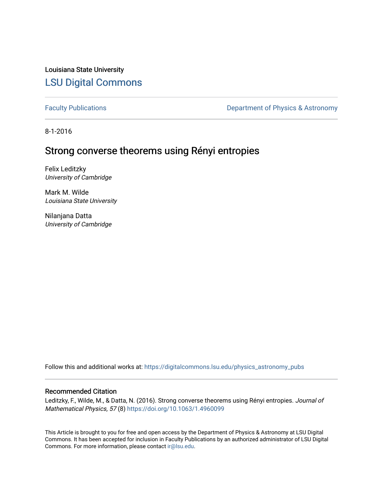Louisiana State University [LSU Digital Commons](https://digitalcommons.lsu.edu/)

[Faculty Publications](https://digitalcommons.lsu.edu/physics_astronomy_pubs) **Exercise 2** Constant Department of Physics & Astronomy

8-1-2016

# Strong converse theorems using Rényi entropies

Felix Leditzky University of Cambridge

Mark M. Wilde Louisiana State University

Nilanjana Datta University of Cambridge

Follow this and additional works at: [https://digitalcommons.lsu.edu/physics\\_astronomy\\_pubs](https://digitalcommons.lsu.edu/physics_astronomy_pubs?utm_source=digitalcommons.lsu.edu%2Fphysics_astronomy_pubs%2F5668&utm_medium=PDF&utm_campaign=PDFCoverPages) 

# Recommended Citation

Leditzky, F., Wilde, M., & Datta, N. (2016). Strong converse theorems using Rényi entropies. Journal of Mathematical Physics, 57 (8)<https://doi.org/10.1063/1.4960099>

This Article is brought to you for free and open access by the Department of Physics & Astronomy at LSU Digital Commons. It has been accepted for inclusion in Faculty Publications by an authorized administrator of LSU Digital Commons. For more information, please contact [ir@lsu.edu](mailto:ir@lsu.edu).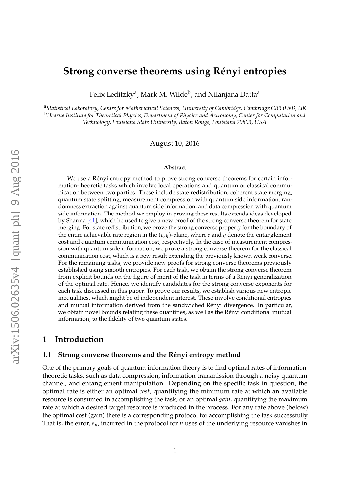# **Strong converse theorems using Rényi entropies**

Felix Leditzky<sup>a</sup>, Mark M. Wilde<sup>b</sup>, and Nilanjana Datta<sup>a</sup>

a *Statistical Laboratory, Centre for Mathematical Sciences, University of Cambridge, Cambridge CB3 0WB, UK* <sup>b</sup>*Hearne Institute for Theoretical Physics, Department of Physics and Astronomy, Center for Computation and Technology, Louisiana State University, Baton Rouge, Louisiana 70803, USA*

August 10, 2016

#### **Abstract**

We use a Rényi entropy method to prove strong converse theorems for certain information-theoretic tasks which involve local operations and quantum or classical communication between two parties. These include state redistribution, coherent state merging, quantum state splitting, measurement compression with quantum side information, randomness extraction against quantum side information, and data compression with quantum side information. The method we employ in proving these results extends ideas developed by Sharma [\[41\]](#page-39-0), which he used to give a new proof of the strong converse theorem for state merging. For state redistribution, we prove the strong converse property for the boundary of the entire achievable rate region in the (*e*, *q*)-plane, where *e* and *q* denote the entanglement cost and quantum communication cost, respectively. In the case of measurement compression with quantum side information, we prove a strong converse theorem for the classical communication cost, which is a new result extending the previously known weak converse. For the remaining tasks, we provide new proofs for strong converse theorems previously established using smooth entropies. For each task, we obtain the strong converse theorem from explicit bounds on the figure of merit of the task in terms of a Renyi generalization ´ of the optimal rate. Hence, we identify candidates for the strong converse exponents for each task discussed in this paper. To prove our results, we establish various new entropic inequalities, which might be of independent interest. These involve conditional entropies and mutual information derived from the sandwiched Renyi divergence. In particular, ´ we obtain novel bounds relating these quantities, as well as the Rényi conditional mutual information, to the fidelity of two quantum states.

# **1 Introduction**

### <span id="page-1-0"></span>**1.1 Strong converse theorems and the Rényi entropy method**

One of the primary goals of quantum information theory is to find optimal rates of informationtheoretic tasks, such as data compression, information transmission through a noisy quantum channel, and entanglement manipulation. Depending on the specific task in question, the optimal rate is either an optimal *cost*, quantifying the minimum rate at which an available resource is consumed in accomplishing the task, or an optimal *gain*, quantifying the maximum rate at which a desired target resource is produced in the process. For any rate above (below) the optimal cost (gain) there is a corresponding protocol for accomplishing the task successfully. That is, the error,  $\varepsilon_n$ , incurred in the protocol for *n* uses of the underlying resource vanishes in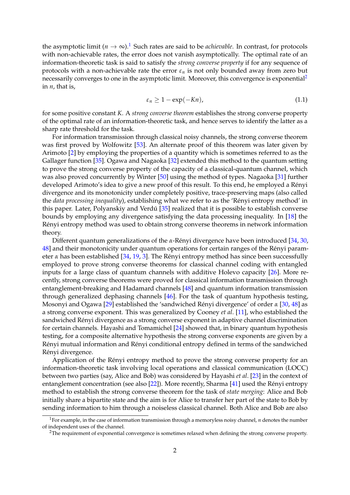the asymptotic limit ( $n \to \infty$ ).<sup>[1](#page-2-0)</sup> Such rates are said to be *achievable*. In contrast, for protocols with non-achievable rates, the error does not vanish asymptotically. The optimal rate of an information-theoretic task is said to satisfy the *strong converse property* if for any sequence of protocols with a non-achievable rate the error *ε<sup>n</sup>* is not only bounded away from zero but necessarily converges to one in the asymptotic limit. Moreover, this convergence is exponential<sup>[2](#page-2-1)</sup> in *n*, that is,

<span id="page-2-2"></span>
$$
\varepsilon_n \ge 1 - \exp(-Kn),\tag{1.1}
$$

for some positive constant *K*. A *strong converse theorem* establishes the strong converse property of the optimal rate of an information-theoretic task, and hence serves to identify the latter as a sharp rate threshold for the task.

For information transmission through classical noisy channels, the strong converse theorem was first proved by Wolfowitz [\[53\]](#page-40-0). An alternate proof of this theorem was later given by Arimoto [\[2\]](#page-37-0) by employing the properties of a quantity which is sometimes referred to as the Gallager function [\[35\]](#page-39-1). Ogawa and Nagaoka [\[32\]](#page-39-2) extended this method to the quantum setting to prove the strong converse property of the capacity of a classical-quantum channel, which was also proved concurrently by Winter [\[50\]](#page-40-1) using the method of types. Nagaoka [\[31\]](#page-39-3) further developed Arimoto's idea to give a new proof of this result. To this end, he employed a Rényi divergence and its monotonicity under completely positive, trace-preserving maps (also called the *data processing inequality*), establishing what we refer to as the 'Rényi entropy method' in this paper. Later, Polyanskiy and Verdú [[35\]](#page-39-1) realized that it is possible to establish converse bounds by employing any divergence satisfying the data processing inequality. In [\[18\]](#page-38-0) the Rényi entropy method was used to obtain strong converse theorems in network information theory.

Different quantum generalizations of the *α*-Rényi divergence have been introduced [[34,](#page-39-4) [30,](#page-38-1) [48\]](#page-40-2) and their monotonicity under quantum operations for certain ranges of the Rényi parameter  $\alpha$  has been established [\[34,](#page-39-4) [19,](#page-38-2) [3\]](#page-37-1). The Rényi entropy method has since been successfully employed to prove strong converse theorems for classical channel coding with entangled inputs for a large class of quantum channels with additive Holevo capacity [\[26\]](#page-38-3). More recently, strong converse theorems were proved for classical information transmission through entanglement-breaking and Hadamard channels [\[48\]](#page-40-2) and quantum information transmission through generalized dephasing channels [\[46\]](#page-39-5). For the task of quantum hypothesis testing, Mosonyi and Ogawa [\[29\]](#page-38-4) established the 'sandwiched Rényi divergence' of order  $\alpha$  [\[30,](#page-38-1) [48\]](#page-40-2) as a strong converse exponent. This was generalized by Cooney *et al*. [\[11\]](#page-37-2), who established the sandwiched Rényi divergence as a strong converse exponent in adaptive channel discrimination for certain channels. Hayashi and Tomamichel [\[24\]](#page-38-5) showed that, in binary quantum hypothesis testing, for a composite alternative hypothesis the strong converse exponents are given by a Rényi mutual information and Rényi conditional entropy defined in terms of the sandwiched Rényi divergence.

Application of the Rényi entropy method to prove the strong converse property for an information-theoretic task involving local operations and classical communication (LOCC) between two parties (say, Alice and Bob) was considered by Hayashi *et al*. [\[23\]](#page-38-6) in the context of entanglement concentration (see also  $[22]$ ). More recently, Sharma  $[41]$  used the Rényi entropy method to establish the strong converse theorem for the task of *state merging*: Alice and Bob initially share a bipartite state and the aim is for Alice to transfer her part of the state to Bob by sending information to him through a noiseless classical channel. Both Alice and Bob are also

<span id="page-2-0"></span><sup>&</sup>lt;sup>1</sup>For example, in the case of information transmission through a memoryless noisy channel,  $n$  denotes the number of independent uses of the channel.

<span id="page-2-1"></span><sup>&</sup>lt;sup>2</sup>The requirement of exponential convergence is sometimes relaxed when defining the strong converse property.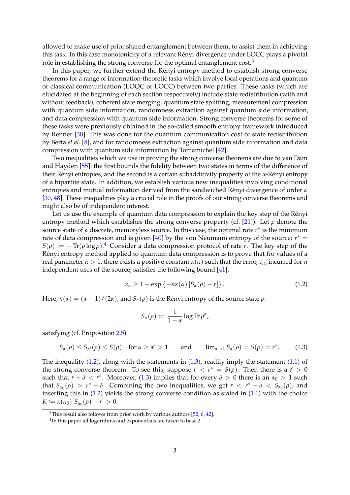allowed to make use of prior shared entanglement between them, to assist them in achieving this task. In this case monotonicity of a relevant Rényi divergence under LOCC plays a pivotal role in establishing the strong converse for the optimal entanglement  $cost<sup>3</sup>$  $cost<sup>3</sup>$  $cost<sup>3</sup>$ 

In this paper, we further extend the Rényi entropy method to establish strong converse theorems for a range of information-theoretic tasks which involve local operations and quantum or classical communication (LOQC or LOCC) between two parties. These tasks (which are elucidated at the beginning of each section respectively) include state redistribution (with and without feedback), coherent state merging, quantum state splitting, measurement compression with quantum side information, randomness extraction against quantum side information, and data compression with quantum side information. Strong converse theorems for some of these tasks were previously obtained in the so-called smooth entropy framework introduced by Renner [\[38\]](#page-39-6). This was done for the quantum communication cost of state redistribution by Berta *et al.* [\[8\]](#page-37-3), and for randomness extraction against quantum side information and data compression with quantum side information by Tomamichel [\[42\]](#page-39-7).

Two inequalities which we use in proving the strong converse theorems are due to van Dam and Hayden [\[55\]](#page-40-3): the first bounds the fidelity between two states in terms of the difference of their Rényi entropies, and the second is a certain subadditivity property of the *α*-Rényi entropy of a bipartite state. In addition, we establish various new inequalities involving conditional entropies and mutual information derived from the sandwiched Rényi divergence of order *α* [\[30,](#page-38-1) [48\]](#page-40-2). These inequalities play a crucial role in the proofs of our strong converse theorems and might also be of independent interest.

Let us use the example of quantum data compression to explain the key step of the Rényi entropy method which establishes the strong converse property (cf. [\[21\]](#page-38-8)). Let *ρ* denote the source state of a discrete, memoryless source. In this case, the optimal rate  $r^*$  is the minimum rate of data compression and is given  $[40]$  by the von Neumann entropy of the source:  $r^* =$  $S(\rho) \coloneqq -\text{Tr}(\rho \log \rho)$ .<sup>[4](#page-3-1)</sup> Consider a data compression protocol of rate *r*. The key step of the Rényi entropy method applied to quantum data compression is to prove that for values of a real parameter *α* > 1, there exists a positive constant  $κ(α)$  such that the error,  $ε_n$ , incurred for *n* independent uses of the source, satisfies the following bound [\[41\]](#page-39-0):

$$
\varepsilon_n \ge 1 - \exp\left\{-n\kappa(\alpha)\left[S_\alpha(\rho) - r\right]\right\}.
$$
 (1.2)

Here,  $\kappa(\alpha) = (\alpha - 1)/(2\alpha)$ , and  $S_\alpha(\rho)$  is the Rényi entropy of the source state  $\rho$ :

<span id="page-3-3"></span><span id="page-3-2"></span>
$$
S_{\alpha}(\rho) := \frac{1}{1-\alpha} \log \mathrm{Tr} \, \rho^{\alpha},
$$

satisfying (cf. Proposition [2.5\)](#page-7-0)

$$
S_{\alpha}(\rho) \leq S_{\alpha'}(\rho) \leq S(\rho) \quad \text{for } \alpha \geq \alpha' > 1 \quad \text{and} \quad \lim_{\alpha \to 1} S_{\alpha}(\rho) = S(\rho) = r^*.
$$
 (1.3)

The inequality  $(1.2)$ , along with the statements in  $(1.3)$ , readily imply the statement  $(1.1)$  of the strong converse theorem. To see this, suppose  $r < r^* = S(\rho)$ . Then there is a  $\delta > 0$ such that  $r + \delta < r^*$ . Moreover, [\(1.3\)](#page-3-3) implies that for every  $\delta > 0$  there is an  $\alpha_0 > 1$  such that  $S_{\alpha_0}(\rho) > r^* - \delta$ . Combining the two inequalities, we get  $r < r^* - \delta < S_{\alpha_0}(\rho)$ , and inserting this in [\(1.2\)](#page-3-2) yields the strong converse condition as stated in [\(1.1\)](#page-2-2) with the choice  $K := \kappa(\alpha_0)[S_{\alpha_0}(\rho) - r] > 0.$ 

<span id="page-3-0"></span> $3$ This result also follows from prior work by various authors [\[52,](#page-40-4) [6,](#page-37-4) [42\]](#page-39-7).

<span id="page-3-1"></span> $^{4}$ In this paper all logarithms and exponentials are taken to base 2.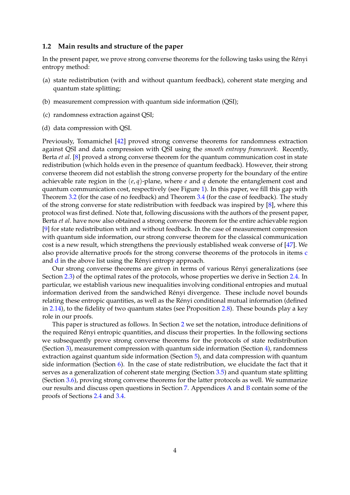### **1.2 Main results and structure of the paper**

In the present paper, we prove strong converse theorems for the following tasks using the Renyi ´ entropy method:

- (a) state redistribution (with and without quantum feedback), coherent state merging and quantum state splitting;
- (b) measurement compression with quantum side information (QSI);
- <span id="page-4-0"></span>(c) randomness extraction against QSI;
- <span id="page-4-1"></span>(d) data compression with QSI.

Previously, Tomamichel [\[42\]](#page-39-7) proved strong converse theorems for randomness extraction against QSI and data compression with QSI using the *smooth entropy framework*. Recently, Berta *et al*. [\[8\]](#page-37-3) proved a strong converse theorem for the quantum communication cost in state redistribution (which holds even in the presence of quantum feedback). However, their strong converse theorem did not establish the strong converse property for the boundary of the entire achievable rate region in the  $(e, q)$ -plane, where  $e$  and  $q$  denote the entanglement cost and quantum communication cost, respectively (see Figure [1\)](#page-5-0). In this paper, we fill this gap with Theorem [3.2](#page-16-0) (for the case of no feedback) and Theorem [3.4](#page-18-0) (for the case of feedback). The study of the strong converse for state redistribution with feedback was inspired by [\[8\]](#page-37-3), where this protocol was first defined. Note that, following discussions with the authors of the present paper, Berta *et al*. have now also obtained a strong converse theorem for the entire achievable region [\[9\]](#page-37-5) for state redistribution with and without feedback. In the case of measurement compression with quantum side information, our strong converse theorem for the classical communication cost is a new result, which strengthens the previously established weak converse of [\[47\]](#page-39-9). We also provide alternative proofs for the strong converse theorems of the protocols in items [c](#page-4-0) an[d](#page-4-1)  $d$  in the above list using the Rényi entropy approach.

Our strong converse theorems are given in terms of various Renyi generalizations (see ´ Section [2.3\)](#page-7-1) of the optimal rates of the protocols, whose properties we derive in Section [2.4.](#page-8-0) In particular, we establish various new inequalities involving conditional entropies and mutual information derived from the sandwiched Rényi divergence. These include novel bounds relating these entropic quantities, as well as the Renyi conditional mutual information (defined ´ in [2.14\)](#page-10-0), to the fidelity of two quantum states (see Proposition [2.8\)](#page-10-1). These bounds play a key role in our proofs.

This paper is structured as follows. In Section [2](#page-5-1) we set the notation, introduce definitions of the required Renyi entropic quantities, and discuss their properties. In the following sections ´ we subsequently prove strong converse theorems for the protocols of state redistribution (Section [3\)](#page-12-0), measurement compression with quantum side information (Section [4\)](#page-22-0), randomness extraction against quantum side information (Section [5\)](#page-25-0), and data compression with quantum side information (Section  $6$ ). In the case of state redistribution, we elucidate the fact that it serves as a generalization of coherent state merging (Section [3.5\)](#page-19-0) and quantum state splitting (Section [3.6\)](#page-20-0), proving strong converse theorems for the latter protocols as well. We summarize our results and discuss open questions in Section [7.](#page-32-0) Appendices [A](#page-33-0) and [B](#page-35-0) contain some of the proofs of Sections [2.4](#page-8-0) and [3.4.](#page-17-0)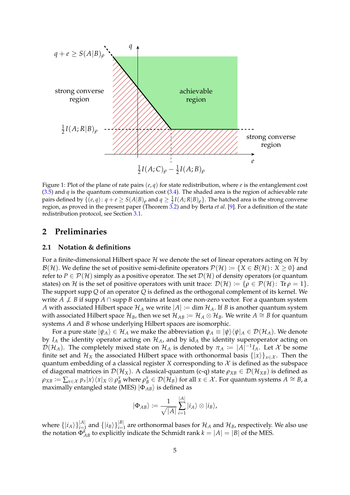<span id="page-5-0"></span>

Figure 1: Plot of the plane of rate pairs (*e*, *q*) for state redistribution, where *e* is the entanglement cost [\(3.5\)](#page-13-0) and  $q$  is the quantum communication cost [\(3.4\)](#page-13-1). The shaded area is the region of achievable rate pairs defined by  $\{(e,q): q+e\geq S(A|B)_{\rho} \text{ and } q\geq \frac{1}{2}I(A;R|B)_{\rho}\}.$  The hatched area is the strong converse region, as proved in the present paper (Theorem [3.2\)](#page-16-0) and by Berta *et al*. [\[9\]](#page-37-5). For a definition of the state redistribution protocol, see Section [3.1.](#page-12-1)

# <span id="page-5-1"></span>**2 Preliminaries**

# **2.1 Notation & definitions**

For a finite-dimensional Hilbert space  $H$  we denote the set of linear operators acting on  $H$  by  $\mathcal{B}(\mathcal{H})$ . We define the set of positive semi-definite operators  $\mathcal{P}(\mathcal{H}) := \{X \in \mathcal{B}(\mathcal{H}) : X \geq 0\}$  and refer to  $P \in \mathcal{P}(\mathcal{H})$  simply as a positive operator. The set  $\mathcal{D}(\mathcal{H})$  of density operators (or quantum states) on H is the set of positive operators with unit trace:  $\mathcal{D}(\mathcal{H}) := \{\rho \in \mathcal{P}(\mathcal{H})\colon \text{Tr}\,\rho = 1\}.$ The support supp *Q* of an operator *Q* is defined as the orthogonal complement of its kernel. We write *A*  $\neq$  *B* if supp *A* ∩ supp *B* contains at least one non-zero vector. For a quantum system *A* with associated Hilbert space  $\mathcal{H}_A$  we write  $|A| := \dim \mathcal{H}_A$ . If *B* is another quantum system with associated Hilbert space  $\mathcal{H}_B$ , then we set  $\mathcal{H}_{AB} := \mathcal{H}_A \otimes \mathcal{H}_B$ . We write  $A \cong B$  for quantum systems *A* and *B* whose underlying Hilbert spaces are isomorphic.

For a pure state  $|\psi_A\rangle \in \mathcal{H}_A$  we make the abbreviation  $\psi_A \equiv |\psi\rangle \langle \psi|_A \in \mathcal{D}(\mathcal{H}_A)$ . We denote by  $I_A$  the identity operator acting on  $\mathcal{H}_A$ , and by  $id_A$  the identity superoperator acting on  $\mathcal{D}(\mathcal{H}_A)$ . The completely mixed state on  $\mathcal{H}_A$  is denoted by  $\pi_A := |A|^{-1}I_A$ . Let  $\mathcal X$  be some finite set and  $\mathcal{H}_X$  the associated Hilbert space with orthonormal basis  $\{|x\rangle\}_{x\in\mathcal{X}}$ . Then the quantum embedding of a classical register *X* corresponding to  $X$  is defined as the subspace of diagonal matrices in  $\mathcal{D}(\mathcal{H}_X)$ . A classical-quantum (c-q) state  $\rho_{XB} \in \mathcal{D}(\mathcal{H}_{XB})$  is defined as  $\rho_{XB} := \sum_{x \in \mathcal{X}} p_x |x\rangle \langle x |_X \otimes \rho_B^x$  where  $\rho_B^x \in \mathcal{D}(\mathcal{H}_B)$  for all  $x \in \mathcal{X}$ . For quantum systems  $A \cong B$ , a maximally entangled state (MES)  $|\Phi_{AB}\rangle$  is defined as

$$
\ket{\Phi_{AB}}:=\frac{1}{\sqrt{|A|}}\sum_{i=1}^{|A|}\ket{i_A}\otimes\ket{i_B},
$$

where  $\{|i_A\rangle\}_{i=1}^{|A|}$  and  $\{|i_B\rangle\}_{i=1}^{|B|}$  are orthonormal bases for  $\mathcal{H}_A$  and  $\mathcal{H}_B$ , respectively. We also use the notation  $\Phi_{AB}^k$  to explicitly indicate the Schmidt rank  $k = |A| = |B|$  of the MES.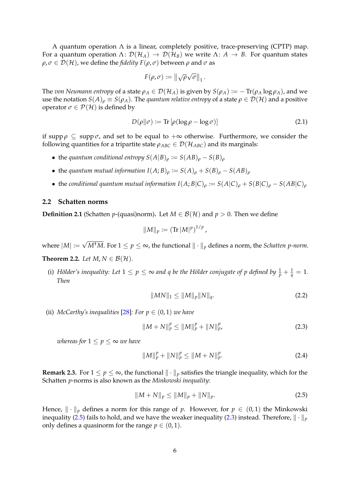A quantum operation  $\Lambda$  is a linear, completely positive, trace-preserving (CPTP) map. For a quantum operation  $\Lambda: \mathcal{D}(\mathcal{H}_A) \to \mathcal{D}(\mathcal{H}_B)$  we write  $\Lambda: A \to B$ . For quantum states  $\rho$ ,  $\sigma \in \mathcal{D}(\mathcal{H})$ , we define the *fidelity*  $F(\rho, \sigma)$  between  $\rho$  and  $\sigma$  as

<span id="page-6-4"></span>
$$
F(\rho,\sigma) := \left\|\sqrt{\rho}\sqrt{\sigma}\right\|_1.
$$

The *von Neumann entropy* of a state  $\rho_A \in \mathcal{D}(\mathcal{H}_A)$  is given by  $S(\rho_A) := -\text{Tr}(\rho_A \log \rho_A)$ , and we use the notation  $S(A)_{\rho} \equiv S(\rho_A)$ . The *quantum relative entropy* of a state  $\rho \in \mathcal{D}(\mathcal{H})$  and a positive operator  $\sigma \in \mathcal{P}(\mathcal{H})$  is defined by

$$
D(\rho \|\sigma) := \text{Tr} \left[ \rho (\log \rho - \log \sigma) \right] \tag{2.1}
$$

if supp  $\rho \subseteq \text{supp }\sigma$ , and set to be equal to  $+\infty$  otherwise. Furthermore, we consider the following quantities for a tripartite state  $\rho_{ABC} \in \mathcal{D}(\mathcal{H}_{ABC})$  and its marginals:

- the *quantum conditional entropy*  $S(A|B)_{\rho} := S(AB)_{\rho} S(B)_{\rho}$
- the *quantum mutual information*  $I(A;B)_{\rho} := S(A)_{\rho} + S(B)_{\rho} S(AB)_{\rho}$
- the *conditional quantum mutual information*  $I(A;B|C)_{\rho} := S(A|C)_{\rho} + S(B|C)_{\rho} S(AB|C)_{\rho}$

### **2.2 Schatten norms**

**Definition 2.1** (Schatten *p*-(quasi)norm). Let  $M \in \mathcal{B}(\mathcal{H})$  and  $p > 0$ . Then we define

$$
||M||_p \coloneqq (\text{Tr}\,|M|^p)^{1/p},
$$

where |*M*| := √ *M*<sup>†</sup>*M*. For 1 ≤  $p$  ≤ ∞, the functional  $\| \cdot \|_p$  defines a norm, the *Schatten p-norm*.

## **Theorem 2.2.** *Let*  $M, N \in \mathcal{B}(\mathcal{H})$ *.*

(i) Hölder's inequality: Let  $1 \le p \le \infty$  and q be the Hölder conjugate of p defined by  $\frac{1}{p} + \frac{1}{q} = 1$ . *Then*

<span id="page-6-2"></span><span id="page-6-1"></span>
$$
||MN||_1 \le ||M||_p ||N||_q. \tag{2.2}
$$

(ii) *McCarthy's inequalities* [\[28\]](#page-38-9): For  $p \in (0,1)$  *we have* 

$$
||M+N||_p^p \le ||M||_p^p + ||N||_p^p, \tag{2.3}
$$

*whereas for*  $1 \leq p \leq \infty$  *we have* 

<span id="page-6-3"></span><span id="page-6-0"></span>
$$
||M||_p^p + ||N||_p^p \le ||M + N||_p^p. \tag{2.4}
$$

**Remark 2.3.** For  $1 \le p \le \infty$ , the functional  $\|\cdot\|_p$  satisfies the triangle inequality, which for the Schatten *p*-norms is also known as the *Minkowski inequality*:

$$
||M+N||_p \le ||M||_p + ||N||_p. \tag{2.5}
$$

Hence,  $\|\cdot\|_p$  defines a norm for this range of *p*. However, for  $p \in (0,1)$  the Minkowski inequality [\(2.5\)](#page-6-0) fails to hold, and we have the weaker inequality [\(2.3\)](#page-6-1) instead. Therefore,  $\|\cdot\|_p$ only defines a quasinorm for the range  $p \in (0,1)$ .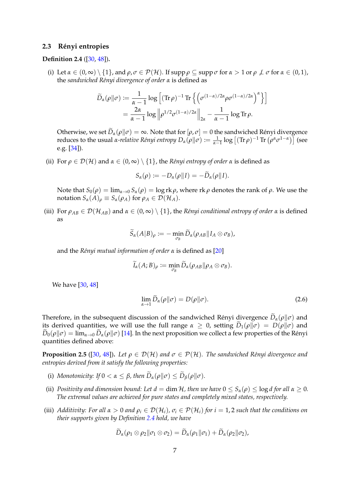### <span id="page-7-1"></span>2.3 Rényi entropies

## <span id="page-7-2"></span>**Definition 2.4** ([\[30,](#page-38-1) [48\]](#page-40-2))**.**

(i) Let  $\alpha \in (0,\infty) \setminus \{1\}$ , and  $\rho, \sigma \in \mathcal{P}(\mathcal{H})$ . If supp  $\rho \subseteq \text{supp }\sigma$  for  $\alpha > 1$  or  $\rho \not\perp \sigma$  for  $\alpha \in (0,1)$ , the *sandwiched R´enyi divergence of order α* is defined as

$$
\widetilde{D}_{\alpha}(\rho\|\sigma) := \frac{1}{\alpha - 1} \log \left[ (\operatorname{Tr}\rho)^{-1} \operatorname{Tr} \left\{ \left( \sigma^{(1-\alpha)/2\alpha} \rho \sigma^{(1-\alpha)/2\alpha} \right)^{\alpha} \right\} \right]
$$
\n
$$
= \frac{2\alpha}{\alpha - 1} \log \left\| \rho^{1/2} \sigma^{(1-\alpha)/2\alpha} \right\|_{2\alpha} - \frac{1}{\alpha - 1} \log \operatorname{Tr} \rho.
$$

Otherwise, we set  $D_{\alpha}(\rho || \sigma) = \infty$ . Note that for  $[\rho, \sigma] = 0$  the sandwiched Rényi divergence reduces to the usual *α-relative Rényi entropy*  $D_\alpha(\rho||\sigma) := \frac{1}{\alpha-1} \log \left[ (\text{Tr } \rho)^{-1} \text{Tr} \left( \rho^\alpha \sigma^{1-\alpha} \right) \right]$  (see e.g. [\[34\]](#page-39-4)).

(ii) For  $\rho \in \mathcal{D}(\mathcal{H})$  and  $\alpha \in (0,\infty) \setminus \{1\}$ , the *Rényi entropy of order*  $\alpha$  is defined as

$$
S_{\alpha}(\rho) := -D_{\alpha}(\rho||I) = -\widetilde{D}_{\alpha}(\rho||I).
$$

Note that  $S_0(\rho) = \lim_{\alpha \to 0} S_\alpha(\rho) = \log \alpha r$ , where  $\alpha \in \rho$  denotes the rank of  $\rho$ . We use the notation  $S_\alpha(A)_\rho \equiv S_\alpha(\rho_A)$  for  $\rho_A \in \mathcal{D}(\mathcal{H}_A)$ .

(iii) For  $\rho_{AB} \in \mathcal{D}(\mathcal{H}_{AB})$  and  $\alpha \in (0,\infty) \setminus \{1\}$ , the *Rényi conditional entropy of order*  $\alpha$  is defined as

$$
\widetilde{S}_{\alpha}(A|B)_{\rho} \coloneqq - \min_{\sigma_B} \widetilde{D}_{\alpha}(\rho_{AB}||I_A \otimes \sigma_B),
$$

and the *R´enyi mutual information of order α* is defined as [\[20\]](#page-38-10)

$$
\widetilde{I}_{\alpha}(A;B)_{\rho} \coloneqq \min_{\sigma_B}\widetilde{D}_{\alpha}(\rho_{AB}\|\rho_A\otimes\sigma_B).
$$

We have [\[30,](#page-38-1) [48\]](#page-40-2)

$$
\lim_{\alpha \to 1} \widetilde{D}_{\alpha}(\rho \| \sigma) = D(\rho \| \sigma). \tag{2.6}
$$

Therefore, in the subsequent discussion of the sandwiched Rényi divergence  $D_{\alpha}(\rho||\sigma)$  and its derived quantities, we will use the full range  $\alpha \geq 0$ , setting  $\widetilde{D}_1(\rho||\sigma) = D(\rho||\sigma)$  and  $\tilde{D}_0(\rho||\sigma) = \lim_{\alpha\to 0} \tilde{D}_\alpha(\rho||\sigma)$  [\[14\]](#page-38-11). In the next proposition we collect a few properties of the Rényi quantities defined above:

<span id="page-7-0"></span>**Proposition 2.5** ([\[30,](#page-38-1) [48\]](#page-40-2)). Let  $\rho \in \mathcal{D}(\mathcal{H})$  and  $\sigma \in \mathcal{P}(\mathcal{H})$ . The sandwiched Rényi divergence and *entropies derived from it satisfy the following properties:*

- <span id="page-7-5"></span>(i) *Monotonicity:* If  $0 < \alpha \leq \beta$ , then  $\widetilde{D}_{\alpha}(\rho||\sigma) \leq \widetilde{D}_{\beta}(\rho||\sigma)$ .
- <span id="page-7-4"></span>(ii) *Positivity and dimension bound: Let*  $d = \dim \mathcal{H}$ , then we have  $0 \leq S_\alpha(\rho) \leq \log d$  for all  $\alpha \geq 0$ . *The extremal values are achieved for pure states and completely mixed states, respectively.*
- <span id="page-7-3"></span>(iii) *Additivity: For all*  $\alpha > 0$  *and*  $\rho_i \in \mathcal{D}(\mathcal{H}_i)$ ,  $\sigma_i \in \mathcal{P}(\mathcal{H}_i)$  for  $i = 1, 2$  such that the conditions on *their supports given by Definition [2.4](#page-7-2) hold, we have*

$$
\widetilde{D}_{\alpha}(\rho_1 \otimes \rho_2 || \sigma_1 \otimes \sigma_2) = \widetilde{D}_{\alpha}(\rho_1 || \sigma_1) + \widetilde{D}_{\alpha}(\rho_2 || \sigma_2),
$$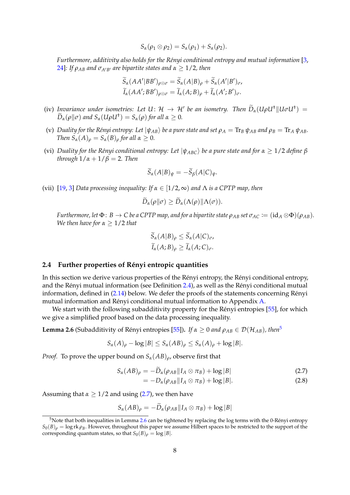$$
S_{\alpha}(\rho_1 \otimes \rho_2) = S_{\alpha}(\rho_1) + S_{\alpha}(\rho_2).
$$

*Furthermore, additivity also holds for the R´enyi conditional entropy and mutual information* [\[3,](#page-37-1) [24\]](#page-38-5): If  $ρ_{AB}$  and  $σ_{A'B'}$  are bipartite states and  $α \geq 1/2$ , then

$$
\widetilde{S}_{\alpha}(AA'|BB')_{\rho\otimes\sigma} = \widetilde{S}_{\alpha}(A|B)_{\rho} + \widetilde{S}_{\alpha}(A'|B')_{\sigma},
$$
  

$$
\widetilde{I}_{\alpha}(AA';BB')_{\rho\otimes\sigma} = \widetilde{I}_{\alpha}(A;B)_{\rho} + \widetilde{I}_{\alpha}(A';B')_{\sigma}.
$$

- <span id="page-8-8"></span>(iv) *Invariance under isometries:* Let  $U: \mathcal{H} \to \mathcal{H}'$  be an isometry. Then  $\widetilde{D}_{\alpha}(U\rho U^{\dagger}||U\sigma U^{\dagger}) =$  $\widetilde{D}_{\alpha}(\rho||\sigma)$  and  $S_{\alpha}(U\rho U^{\dagger}) = S_{\alpha}(\rho)$  for all  $\alpha \geq 0$ .
- <span id="page-8-6"></span>(v) *Duality for the Rényi entropy: Let*  $|\psi_{AB}\rangle$  *be a pure state and set*  $\rho_A = \text{Tr}_B \psi_{AB}$  *and*  $\rho_B = \text{Tr}_A \psi_{AB}$ *. Then*  $S_\alpha(A)_\rho = S_\alpha(B)_\rho$  *for all*  $\alpha \geq 0$ *.*
- <span id="page-8-7"></span>(vi) *Duality for the Rényi conditional entropy: Let*  $|\psi_{ABC}\rangle$  *be a pure state and for*  $\alpha \geq 1/2$  *define*  $\beta$ *through*  $1/\alpha + 1/\beta = 2$ *. Then*

$$
\widetilde{S}_{\alpha}(A|B)_{\psi} = -\widetilde{S}_{\beta}(A|C)_{\psi}.
$$

<span id="page-8-4"></span>(vii) [\[19,](#page-38-2) [3\]](#page-37-1) *Data processing inequality: If α* ∈ [1/2, ∞) *and* Λ *is a CPTP map, then*

$$
\widetilde{D}_{\alpha}(\rho\|\sigma)\geq \widetilde{D}_{\alpha}(\Lambda(\rho)\|\Lambda(\sigma)).
$$

*Furthermore, let*  $\Phi$ :  $B \to C$  *be a CPTP map, and for a bipartite state*  $\rho_{AB}$  *set*  $\sigma_{AC} := (id_A \otimes \Phi)(\rho_{AB})$ *. We then have for*  $\alpha \geq 1/2$  *that* 

$$
S_{\alpha}(A|B)_{\rho} \leq S_{\alpha}(A|C)_{\sigma},
$$
  

$$
\widetilde{I}_{\alpha}(A;B)_{\rho} \geq \widetilde{I}_{\alpha}(A;C)_{\sigma}.
$$

### <span id="page-8-0"></span>**2.4 Further properties of R´enyi entropic quantities**

In this section we derive various properties of the Rényi entropy, the Rényi conditional entropy, and the Rényi mutual information (see Definition [2.4\)](#page-7-2), as well as the Rényi conditional mutual information, defined in  $(2.14)$  below. We defer the proofs of the statements concerning Rényi mutual information and Rényi conditional mutual information to Appendix [A.](#page-33-0)

We start with the following subadditivity property for the Rényi entropies [[55\]](#page-40-3), for which we give a simplified proof based on the data processing inequality.

<span id="page-8-3"></span>**Lemma 2.6** (Subadditivity of Rényi entropies [[55\]](#page-40-3)). *If*  $\alpha \geq 0$  *and*  $\rho_{AB} \in \mathcal{D}(\mathcal{H}_{AB})$ *, then*<sup>[5](#page-8-1)</sup>

$$
S_{\alpha}(A)_{\rho} - \log |B| \leq S_{\alpha}(AB)_{\rho} \leq S_{\alpha}(A)_{\rho} + \log |B|.
$$

*Proof.* To prove the upper bound on  $S_\alpha(AB)$ <sub>*ρ*</sub>, observe first that

$$
S_{\alpha}(AB)_{\rho} = -D_{\alpha}(\rho_{AB}||I_A \otimes \pi_B) + \log|B| \qquad (2.7)
$$

<span id="page-8-5"></span><span id="page-8-2"></span>
$$
= -D_{\alpha}(\rho_{AB}||I_A \otimes \pi_B) + \log |B|.
$$
 (2.8)

Assuming that  $\alpha \geq 1/2$  and using [\(2.7\)](#page-8-2), we then have

 $S_{\alpha}(AB)_{\rho} = -\widetilde{D}_{\alpha}(\rho_{AB}||I_A \otimes \pi_B) + \log |B|$ 

<span id="page-8-1"></span> $5$ Note that both inequalities in Lemma [2.6](#page-8-3) can be tightened by replacing the log terms with the 0-Rényi entropy  $S_0(B)_\rho = \log \frac{R}{\rho_B}$ . However, throughout this paper we assume Hilbert spaces to be restricted to the support of the corresponding quantum states, so that  $S_0(B)$ <sub>*ρ*</sub> = log |*B*|.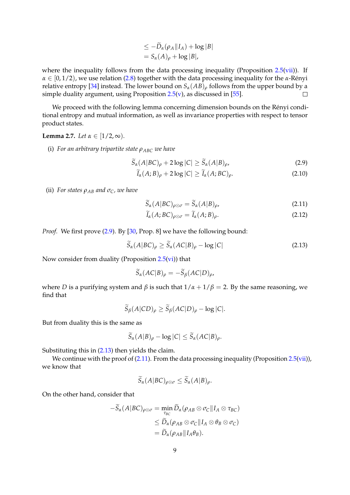$$
\leq -\widetilde{D}_{\alpha}(\rho_{A}||I_{A}) + \log |B|
$$
  
=  $S_{\alpha}(A)_{\rho} + \log |B|$ ,

where the inequality follows from the data processing inequality (Proposition  $2.5(vii)$  $2.5(vii)$ ). If  $\alpha \in [0, 1/2)$ , we use relation [\(2.8\)](#page-8-5) together with the data processing inequality for the *α*-Rényi relative entropy [\[34\]](#page-39-4) instead. The lower bound on  $S_\alpha(AB)$ <sup>*ρ*</sup> follows from the upper bound by a simple duality argument, using Proposition [2.5](#page-7-0)[\(v\)](#page-8-6), as discussed in [\[55\]](#page-40-3).  $\Box$ 

We proceed with the following lemma concerning dimension bounds on the Rényi conditional entropy and mutual information, as well as invariance properties with respect to tensor product states.

# <span id="page-9-5"></span>**Lemma 2.7.** *Let*  $\alpha \in [1/2, \infty)$ *.*

(i) *For an arbitrary tripartite state ρABC we have*

$$
\widetilde{S}_{\alpha}(A|BC)_{\rho} + 2\log|C| \ge \widetilde{S}_{\alpha}(A|B)_{\rho},\tag{2.9}
$$

$$
\widetilde{I}_{\alpha}(A;B)_{\rho} + 2\log|C| \ge \widetilde{I}_{\alpha}(A;BC)_{\rho}.
$$
\n(2.10)

(ii) *For states*  $\rho_{AB}$  *and*  $\sigma_C$ *, we have* 

<span id="page-9-3"></span><span id="page-9-2"></span><span id="page-9-0"></span>
$$
\widetilde{S}_{\alpha}(A|BC)_{\rho\otimes\sigma} = \widetilde{S}_{\alpha}(A|B)_{\rho},\tag{2.11}
$$

<span id="page-9-4"></span><span id="page-9-1"></span>
$$
\widetilde{I}_{\alpha}(A; BC)_{\rho \otimes \sigma} = \widetilde{I}_{\alpha}(A; B)_{\rho}.
$$
\n(2.12)

*Proof.* We first prove [\(2.9\)](#page-9-0). By [\[30,](#page-38-1) Prop. 8] we have the following bound:

$$
\widetilde{S}_{\alpha}(A|BC)_{\rho} \ge \widetilde{S}_{\alpha}(AC|B)_{\rho} - \log|C| \tag{2.13}
$$

Now consider from duality (Proposition  $2.5$ [\(vi\)](#page-8-7)) that

$$
\widetilde{S}_{\alpha}(AC|B)_{\rho} = -\widetilde{S}_{\beta}(AC|D)_{\rho},
$$

where *D* is a purifying system and  $\beta$  is such that  $1/\alpha + 1/\beta = 2$ . By the same reasoning, we find that

$$
\widetilde{S}_{\beta}(A|CD)_{\rho} \ge \widetilde{S}_{\beta}(AC|D)_{\rho} - \log |C|.
$$

But from duality this is the same as

$$
\widetilde{S}_{\alpha}(A|B)_{\rho}-\log|C|\leq \widetilde{S}_{\alpha}(AC|B)_{\rho}.
$$

Substituting this in [\(2.13\)](#page-9-1) then yields the claim.

We continue with the proof of [\(2.11\)](#page-9-2). From the data processing inequality (Proposition [2.5\(](#page-7-0)[vii\)](#page-8-4)), we know that

$$
\widetilde{S}_{\alpha}(A|BC)_{\rho\otimes\sigma}\leq \widetilde{S}_{\alpha}(A|B)_{\rho}.
$$

On the other hand, consider that

$$
-\widetilde{S}_{\alpha}(A|BC)_{\rho\otimes\sigma} = \min_{\tau_{BC}} \widetilde{D}_{\alpha}(\rho_{AB}\otimes\sigma_{C}||I_{A}\otimes\tau_{BC})
$$
  

$$
\leq \widetilde{D}_{\alpha}(\rho_{AB}\otimes\sigma_{C}||I_{A}\otimes\theta_{B}\otimes\sigma_{C})
$$
  

$$
= \widetilde{D}_{\alpha}(\rho_{AB}||I_{A}\theta_{B}).
$$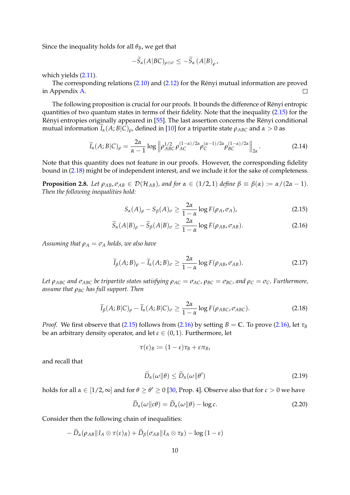Since the inequality holds for all  $\theta_B$ , we get that

<span id="page-10-0"></span>
$$
-S_{\alpha}(A|BC)_{\rho\otimes\sigma}\leq-S_{\alpha}(A|B)_{\rho}\,.
$$

which yields [\(2.11\)](#page-9-2).

The corresponding relations  $(2.10)$  and  $(2.12)$  for the Rényi mutual information are proved in Appendix [A.](#page-33-0)  $\Box$ 

The following proposition is crucial for our proofs. It bounds the difference of Rényi entropic quantities of two quantum states in terms of their fidelity. Note that the inequality [\(2.15\)](#page-10-2) for the Rényi entropies originally appeared in [[55\]](#page-40-3). The last assertion concerns the Rényi conditional mutual information  $\tilde{I}_\alpha(A;B|C)$ <sub>*ρ*</sub>, defined in [\[10\]](#page-37-6) for a tripartite state  $\rho_{ABC}$  and  $\alpha > 0$  as

$$
\widetilde{I}_{\alpha}(A;B|C)_{\rho} = \frac{2\alpha}{\alpha - 1} \log \left\| \rho_{ABC}^{1/2} \rho_{AC}^{(1-\alpha)/2\alpha} \rho_C^{(\alpha-1)/2\alpha} \rho_{BC}^{(1-\alpha)/2\alpha} \right\|_{2\alpha}.
$$
\n(2.14)

Note that this quantity does not feature in our proofs. However, the corresponding fidelity bound in [\(2.18\)](#page-10-3) might be of independent interest, and we include it for the sake of completeness.

<span id="page-10-1"></span>**Proposition 2.8.** Let  $\rho_{AB}$ ,  $\sigma_{AB} \in \mathcal{D}(\mathcal{H}_{AB})$ , and for  $\alpha \in (1/2, 1)$  define  $\beta \equiv \beta(\alpha) := \alpha/(2\alpha - 1)$ . *Then the following inequalities hold:*

<span id="page-10-4"></span><span id="page-10-2"></span>
$$
S_{\alpha}(A)_{\rho} - S_{\beta}(A)_{\sigma} \ge \frac{2\alpha}{1 - \alpha} \log F(\rho_A, \sigma_A), \tag{2.15}
$$

$$
\widetilde{S}_{\alpha}(A|B)_{\rho} - \widetilde{S}_{\beta}(A|B)_{\sigma} \ge \frac{2\alpha}{1-\alpha} \log F(\rho_{AB}, \sigma_{AB}). \tag{2.16}
$$

*Assuming that*  $\rho_A = \sigma_A$  *holds, we also have* 

$$
\widetilde{I}_{\beta}(A;B)_{\rho} - \widetilde{I}_{\alpha}(A;B)_{\sigma} \ge \frac{2\alpha}{1-\alpha} \log F(\rho_{AB}, \sigma_{AB}). \tag{2.17}
$$

Let  $\rho_{ABC}$  and  $\sigma_{ABC}$  be tripartite states satisfying  $\rho_{AC} = \sigma_{AC}$ ,  $\rho_{BC} = \sigma_{BC}$ , and  $\rho_C = \sigma_C$ . Furthermore, *assume that ρBC has full support. Then*

$$
\widetilde{I}_{\beta}(A;B|C)_{\rho} - \widetilde{I}_{\alpha}(A;B|C)_{\sigma} \ge \frac{2\alpha}{1-\alpha} \log F(\rho_{ABC}, \sigma_{ABC}). \tag{2.18}
$$

*Proof.* We first observe that [\(2.15\)](#page-10-2) follows from [\(2.16\)](#page-10-4) by setting  $B = \mathbb{C}$ . To prove (2.16), let  $\tau_B$ be an arbitrary density operator, and let  $\varepsilon \in (0,1)$ . Furthermore, let

<span id="page-10-7"></span><span id="page-10-3"></span>
$$
\tau(\varepsilon)_B \coloneqq (1-\varepsilon)\tau_B + \varepsilon \pi_B,
$$

and recall that

<span id="page-10-6"></span><span id="page-10-5"></span>
$$
\widetilde{D}_{\alpha}(\omega \| \theta) \le \widetilde{D}_{\alpha}(\omega \| \theta')
$$
\n(2.19)

holds for all  $\alpha \in [1/2, \infty]$  and for  $\theta \ge \theta' \ge 0$  [\[30,](#page-38-1) Prop. 4]. Observe also that for  $c > 0$  we have

$$
D_{\alpha}(\omega||c\theta) = D_{\alpha}(\omega||\theta) - \log c.
$$
 (2.20)

Consider then the following chain of inequalities:

$$
-\widetilde{D}_{\alpha}(\rho_{AB}||I_A \otimes \tau(\varepsilon)_B) + \widetilde{D}_{\beta}(\sigma_{AB}||I_A \otimes \tau_B) - \log(1-\varepsilon)
$$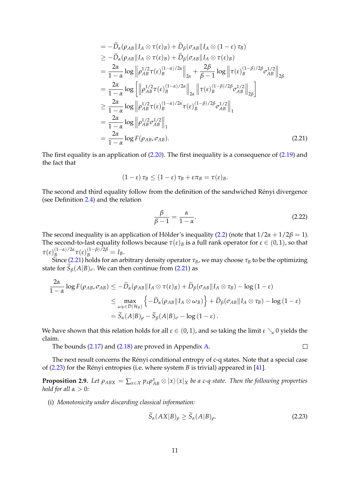$$
= -\tilde{D}_{\alpha}(\rho_{AB}||I_{A} \otimes \tau(\epsilon)_{B}) + \tilde{D}_{\beta}(\sigma_{AB}||I_{A} \otimes (1-\epsilon)\tau_{B})
$$
  
\n
$$
\geq -\tilde{D}_{\alpha}(\rho_{AB}||I_{A} \otimes \tau(\epsilon)_{B}) + \tilde{D}_{\beta}(\sigma_{AB}||I_{A} \otimes \tau(\epsilon)_{B})
$$
  
\n
$$
= \frac{2\alpha}{1-\alpha} \log \left\| \rho_{AB}^{1/2} \tau(\epsilon)_{B}^{(1-\alpha)/2\alpha} \right\|_{2\alpha} + \frac{2\beta}{\beta-1} \log \left\| \tau(\epsilon)_{B}^{(1-\beta)/2\beta} \sigma_{AB}^{1/2} \right\|_{2\beta}
$$
  
\n
$$
= \frac{2\alpha}{1-\alpha} \log \left[ \left\| \rho_{AB}^{1/2} \tau(\epsilon)_{B}^{(1-\alpha)/2\alpha} \right\|_{2\alpha} \left\| \tau(\epsilon)_{B}^{(1-\beta)/2\beta} \sigma_{AB}^{1/2} \right\|_{2\beta} \right]
$$
  
\n
$$
\geq \frac{2\alpha}{1-\alpha} \log \left\| \rho_{AB}^{1/2} \tau(\epsilon)_{B}^{(1-\alpha)/2\alpha} \tau(\epsilon)_{B}^{(1-\beta)/2\beta} \sigma_{AB}^{1/2} \right\|_{1}
$$
  
\n
$$
= \frac{2\alpha}{1-\alpha} \log \left\| \rho_{AB}^{1/2} \sigma_{AB}^{1/2} \right\|_{1}
$$
  
\n
$$
= \frac{2\alpha}{1-\alpha} \log F(\rho_{AB}, \sigma_{AB}). \tag{2.21}
$$

The first equality is an application of  $(2.20)$ . The first inequality is a consequence of  $(2.19)$  and the fact that

$$
(1-\varepsilon)\tau_B\leq (1-\varepsilon)\tau_B+\varepsilon\pi_B=\tau(\varepsilon)_B.
$$

The second and third equality follow from the definition of the sandwiched Rényi divergence (see Definition [2.4\)](#page-7-2) and the relation

$$
\frac{\beta}{\beta - 1} = \frac{\alpha}{1 - \alpha}.\tag{2.22}
$$

The second inequality is an application of Hölder's inequality  $(2.2)$  (note that  $1/2\alpha + 1/2\beta = 1$ ). The second-to-last equality follows because  $\tau(\varepsilon)_B$  is a full rank operator for  $\varepsilon \in (0,1)$ , so that *τ*(*ε*) (1−*α*)/2*α*  $\tau_B^{(1-\alpha)/2\alpha} \tau(\varepsilon)_{B}^{(1-\beta)/2\beta} = I_B.$ 

Since [\(2.21\)](#page-10-5) holds for an arbitrary density operator  $\tau_B$ , we may choose  $\tau_B$  to be the optimizing state for  $\tilde{S}_\beta(A|B)_{\sigma}$ . We can then continue from [\(2.21\)](#page-10-5) as

$$
\frac{2\alpha}{1-\alpha}\log F(\rho_{AB},\sigma_{AB}) \leq -\widetilde{D}_{\alpha}(\rho_{AB}||I_A \otimes \tau(\varepsilon)_B) + \widetilde{D}_{\beta}(\sigma_{AB}||I_A \otimes \tau_B) - \log(1-\varepsilon)
$$
  

$$
\leq \max_{\omega_B \in \mathcal{D}(\mathcal{H}_B)} \left\{-\widetilde{D}_{\alpha}(\rho_{AB}||I_A \otimes \omega_B)\right\} + \widetilde{D}_{\beta}(\sigma_{AB}||I_A \otimes \tau_B) - \log(1-\varepsilon)
$$
  

$$
= \widetilde{S}_{\alpha}(A|B)_{\rho} - \widetilde{S}_{\beta}(A|B)_{\sigma} - \log(1-\varepsilon).
$$

We have shown that this relation holds for all  $\varepsilon \in (0,1)$ , and so taking the limit  $\varepsilon \searrow 0$  yields the claim.

The bounds [\(2.17\)](#page-10-7) and [\(2.18\)](#page-10-3) are proved in Appendix [A.](#page-33-0)

The next result concerns the Rényi conditional entropy of c-q states. Note that a special case of  $(2.23)$  for the Rényi entropies (i.e. where system  $B$  is trivial) appeared in [\[41\]](#page-39-0).

<span id="page-11-1"></span>**Proposition 2.9.** Let  $\rho_{ABX} = \sum_{x \in \mathcal{X}} p_x \rho_{AB}^x \otimes |x\rangle\langle x|_X$  be a c-q state. Then the following properties *hold for all*  $\alpha > 0$ *:* 

(i) *Monotonicity under discarding classical information:*

$$
\widetilde{S}_{\alpha}(AX|B)_{\rho} \ge \widetilde{S}_{\alpha}(A|B)_{\rho}.
$$
\n(2.23)

<span id="page-11-2"></span><span id="page-11-0"></span> $\Box$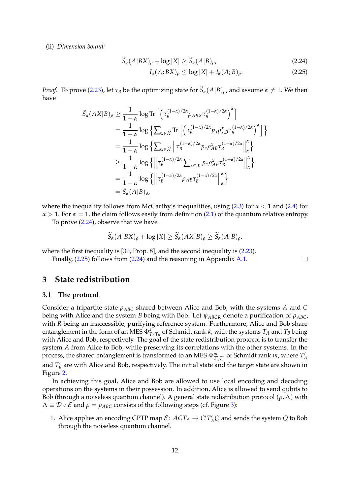#### (ii) *Dimension bound:*

$$
\widetilde{S}_{\alpha}(A|BX)_{\rho} + \log |X| \ge \widetilde{S}_{\alpha}(A|B)_{\rho},\tag{2.24}
$$

<span id="page-12-3"></span><span id="page-12-2"></span>
$$
\tilde{I}_{\alpha}(A;BX)_{\rho} \le \log |X| + \tilde{I}_{\alpha}(A;B)_{\rho}.
$$
\n(2.25)

*Proof.* To prove [\(2.23\)](#page-11-0), let  $\tau_B$  be the optimizing state for  $S_\alpha(A|B)$ <sub>*ρ*</sub>, and assume  $\alpha \neq 1$ . We then have

$$
\widetilde{S}_{\alpha}(AX|B)_{\rho} \geq \frac{1}{1-\alpha} \log \text{Tr} \left[ \left( \tau_B^{(1-\alpha)/2\alpha} \rho_{ABX} \tau_B^{(1-\alpha)/2\alpha} \right)^{\alpha} \right] \n= \frac{1}{1-\alpha} \log \left\{ \sum_{x \in \mathcal{X}} \text{Tr} \left[ \left( \tau_B^{(1-\alpha)/2\alpha} p_x \rho_{AB}^x \tau_B^{(1-\alpha)/2\alpha} \right)^{\alpha} \right] \right\} \n= \frac{1}{1-\alpha} \log \left\{ \sum_{x \in \mathcal{X}} \left\| \tau_B^{(1-\alpha)/2\alpha} p_x \rho_{AB}^x \tau_B^{(1-\alpha)/2\alpha} \right\|_{\alpha}^{\alpha} \right\} \n\geq \frac{1}{1-\alpha} \log \left\{ \left\| \tau_B^{(1-\alpha)/2\alpha} \sum_{x \in \mathcal{X}} p_x \rho_{AB}^x \tau_B^{(1-\alpha)/2\alpha} \right\|_{\alpha}^{\alpha} \right\} \n= \frac{1}{1-\alpha} \log \left\{ \left\| \tau_B^{(1-\alpha)/2\alpha} \rho_{AB} \tau_B^{(1-\alpha)/2\alpha} \right\|_{\alpha}^{\alpha} \right\} \n= \widetilde{S}_{\alpha}(A|B)_{\rho},
$$

where the inequality follows from McCarthy's inequalities, using [\(2.3\)](#page-6-1) for *α* < 1 and [\(2.4\)](#page-6-3) for  $\alpha > 1$ . For  $\alpha = 1$ , the claim follows easily from definition [\(2.1\)](#page-6-4) of the quantum relative entropy.

To prove [\(2.24\)](#page-12-2), observe that we have

$$
S_{\alpha}(A|BX)_{\rho} + \log |X| \ge S_{\alpha}(AX|B)_{\rho} \ge S_{\alpha}(A|B)_{\rho},
$$

where the first inequality is [\[30,](#page-38-1) Prop. 8], and the second inequality is [\(2.23\)](#page-11-0).

Finally, [\(2.25\)](#page-12-3) follows from [\(2.24\)](#page-12-2) and the reasoning in Appendix [A.1.](#page-33-1)

# <span id="page-12-0"></span>**3 State redistribution**

#### <span id="page-12-1"></span>**3.1 The protocol**

Consider a tripartite state *ρABC* shared between Alice and Bob, with the systems *A* and *C* being with Alice and the system *B* being with Bob. Let *ψABCR* denote a purification of *ρABC*, with *R* being an inaccessible, purifying reference system. Furthermore, Alice and Bob share entanglement in the form of an MES  $\Phi_{T_A T_B}^k$  of Schmidt rank *k*, with the systems  $T_A$  and  $T_B$  being with Alice and Bob, respectively. The goal of the state redistribution protocol is to transfer the system *A* from Alice to Bob, while preserving its correlations with the other systems. In the process, the shared entanglement is transformed to an MES  $\Phi^m_{T_A T_B'}$  of Schmidt rank *m*, where  $T_A'$ and  $T'_B$  are with Alice and Bob, respectively. The initial state and the target state are shown in Figure [2.](#page-13-2)

In achieving this goal, Alice and Bob are allowed to use local encoding and decoding operations on the systems in their possession. In addition, Alice is allowed to send qubits to Bob (through a noiseless quantum channel). A general state redistribution protocol (*ρ*, Λ) with  $\Lambda \equiv \mathcal{D} \circ \mathcal{E}$  and  $\rho = \rho_{ABC}$  consists of the following steps (cf. Figure [3\)](#page-14-0):

1. Alice applies an encoding CPTP map  $\mathcal{E}:$   $ACT_A \rightarrow C'T'_AQ$  and sends the system  $Q$  to Bob through the noiseless quantum channel.

 $\Box$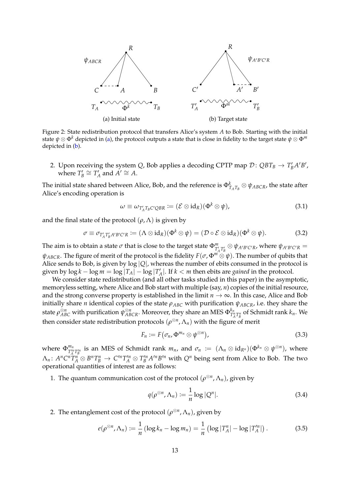<span id="page-13-2"></span>

Figure 2: State redistribution protocol that transfers Alice's system *A* to Bob. Starting with the initial state  $\psi \otimes \Phi^k$  depicted in [\(a\)](#page-13-2), the protocol outputs a state that is close in fidelity to the target state  $\psi \otimes \Phi^m$ depicted in [\(b\)](#page-13-2).

2. Upon receiving the system *Q*, Bob applies a decoding CPTP map  $\mathcal{D}$ :  $QBT_B \rightarrow T'_BA'B'$ , where  $T'_B \cong T'_A$  and  $A' \cong A$ .

The initial state shared between Alice, Bob, and the reference is  $\Phi_{T_A T_B}^k \otimes \psi_{ABCR}$ , the state after Alice's encoding operation is

<span id="page-13-4"></span><span id="page-13-3"></span>
$$
\omega \equiv \omega_{T'_AT_B C'QBR} \coloneqq (\mathcal{E} \otimes id_R)(\Phi^k \otimes \psi), \tag{3.1}
$$

and the final state of the protocol  $(\rho, \Lambda)$  is given by

$$
\sigma \equiv \sigma_{T'_AT'_BA'B'C'R} := (\Lambda \otimes id_R)(\Phi^k \otimes \psi) = (\mathcal{D} \circ \mathcal{E} \otimes id_R)(\Phi^k \otimes \psi).
$$
 (3.2)

The aim is to obtain a state  $\sigma$  that is close to the target state  $\Phi^m_{T'_AT'_B} \otimes \psi_{A'B'C'R}$ , where  $\psi_{A'B'C'R} =$  $ψ$ *ABCR*. The figure of merit of the protocol is the fidelity  $F(σ, Φ<sup>m</sup> ⊗ ψ)$ . The number of qubits that Alice sends to Bob, is given by log |*Q*|, whereas the number of ebits consumed in the protocol is given by  $\log k - \log m = \log |T_A| - \log |T'_A|$ . If  $k < m$  then ebits are *gained* in the protocol.

We consider state redistribution (and all other tasks studied in this paper) in the asymptotic, memoryless setting, where Alice and Bob start with multiple (say, *n*) copies of the initial resource, and the strong converse property is established in the limit  $n \to \infty$ . In this case, Alice and Bob initially share *n* identical copies of the state *ρABC* with purification *ψABCR*, i.e. they share the state  $\rho_{ABC}^{\otimes n}$  with purification  $\psi_{ABCR}^{\otimes n}.$  Moreover, they share an MES  $\Phi_{T_i'}^{k_n}$  $T_A^{n}$  $T_B^{n}$  of Schmidt rank  $k_n$ . We then consider state redistribution protocols  $(\rho^{\otimes n}, \Lambda_n)$  with the figure of merit

<span id="page-13-5"></span>
$$
F_n := F(\sigma_n, \Phi^{m_n} \otimes \psi^{\otimes n}), \qquad (3.3)
$$

where  $\Phi_{T}^{m_n}$  $T_A^m$ <sup>*T<sub>A</sub>*</sup> *I*<sub>B</sub> is an MES of Schmidt rank  $m_n$ , and  $\sigma_n := (\Lambda_n \otimes id_{R^n})(\Phi^{k_n} \otimes \psi^{\otimes n})$ , where  $\Lambda_n\colon A^nC^nT_A^n\otimes B^nT_B^n\to C'^nT'^n_A\otimes T'^n_BA'^nB'^n$  with  $Q^n$  being sent from Alice to Bob. The two operational quantities of interest are as follows:

1. The quantum communication cost of the protocol  $(\rho^{\otimes n}, \Lambda_n)$ , given by

<span id="page-13-1"></span><span id="page-13-0"></span>
$$
q(\rho^{\otimes n}, \Lambda_n) \coloneqq \frac{1}{n} \log |Q^n|.
$$
 (3.4)

2. The entanglement cost of the protocol  $(\rho^{\otimes n}, \Lambda_n)$ , given by

$$
e(\rho^{\otimes n}, \Lambda_n) := \frac{1}{n} \left( \log k_n - \log m_n \right) = \frac{1}{n} \left( \log |T_A^n| - \log |T_A'^n| \right). \tag{3.5}
$$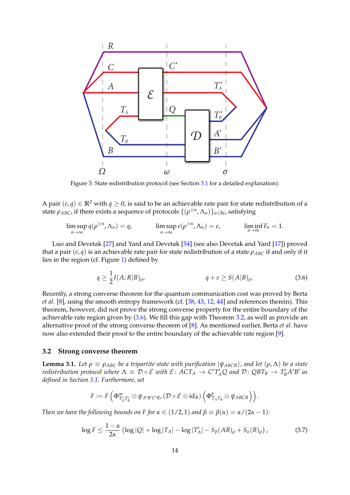<span id="page-14-0"></span>

Figure 3: State redistribution protocol (see Section [3.1](#page-12-1) for a detailed explanation).

A pair  $(e, q) \in \mathbb{R}^2$  with  $q \ge 0$ , is said to be an achievable rate pair for state redistribution of a state  $\rho_{ABC}$ , if there exists a sequence of protocols  $\{(\rho^{\otimes n}, \Lambda_n)\}_{n\in\mathbb{N}}$ , satisfying

$$
\limsup_{n\to\infty} q(\rho^{\otimes n}, \Lambda_n) = q, \qquad \limsup_{n\to\infty} e(\rho^{\otimes n}, \Lambda_n) = e, \qquad \liminf_{n\to\infty} F_n = 1.
$$

Luo and Devetak [\[27\]](#page-38-12) and Yard and Devetak [\[54\]](#page-40-5) (see also Devetak and Yard [\[17\]](#page-38-13)) proved that a pair  $(e, q)$  is an achievable rate pair for state redistribution of a state  $\rho_{ABC}$  if and only if it lies in the region (cf. Figure [1\)](#page-5-0) defined by

<span id="page-14-1"></span>
$$
q \ge \frac{1}{2}I(A;R|B)_{\rho}, \qquad \qquad q + e \ge S(A|B)_{\rho}.
$$
 (3.6)

Recently, a strong converse theorem for the quantum communication cost was proved by Berta *et al.* [\[8\]](#page-37-3), using the smooth entropy framework (cf. [\[38,](#page-39-6) [43,](#page-39-10) [12,](#page-37-7) [44\]](#page-39-11) and references therein). This theorem, however, did not prove the strong converse property for the entire boundary of the achievable rate region given by [\(3.6\)](#page-14-1). We fill this gap with Theorem [3.2,](#page-16-0) as well as provide an alternative proof of the strong converse theorem of [\[8\]](#page-37-3). As mentioned earlier, Berta *et al*. have now also extended their proof to the entire boundary of the achievable rate region [\[9\]](#page-37-5).

## <span id="page-14-4"></span>**3.2 Strong converse theorem**

<span id="page-14-3"></span>**Lemma 3.1.** Let  $\rho \equiv \rho_{ABC}$  be a tripartite state with purification  $|\psi_{ABCR}\rangle$ , and let  $(\rho, \Lambda)$  be a state *redistribution protocol where*  $\Lambda \equiv \mathcal{D} \circ \mathcal{E}$  with  $\mathcal{E} \colon ACT_A \to C'T'_AQ$  and  $\mathcal{D} \colon QBT_B \to T'_BA'B'$  as *defined in Section [3.1.](#page-12-1) Furthermore, set*

<span id="page-14-2"></span>
$$
F \coloneqq F\left(\Phi^m_{T'_AT'_B} \otimes \psi_{A'B'C'R}, (\mathcal{D} \circ \mathcal{E} \otimes id_R) \left(\Phi^k_{T_AT_B} \otimes \psi_{ABCR}\right)\right).
$$

*Then we have the following bounds on F for*  $\alpha \in (1/2, 1)$  *and*  $\beta \equiv \beta(\alpha) = \alpha/(2\alpha - 1)$ *:* 

$$
\log F \le \frac{1-\alpha}{2\alpha} \left( \log |Q| + \log |T_A| - \log |T'_A| - S_\beta (AB)_\rho + S_\alpha (B)_\rho \right),\tag{3.7}
$$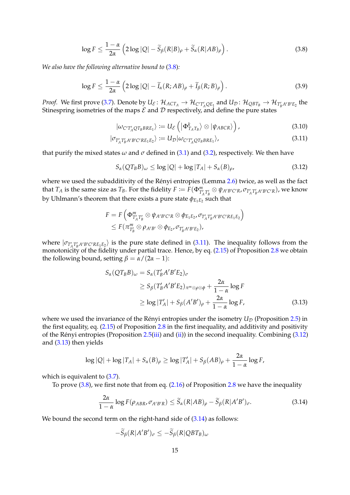$$
\log F \le \frac{1-\alpha}{2\alpha} \left( 2\log|Q| - \widetilde{S}_{\beta}(R|B)_{\rho} + \widetilde{S}_{\alpha}(R|AB)_{\rho} \right). \tag{3.8}
$$

*We also have the following alternative bound to* [\(3.8\)](#page-15-0)*:*

$$
\log F \le \frac{1-\alpha}{2\alpha} \left( 2\log |Q| - \widetilde{I}_{\alpha}(R; AB)_{\rho} + \widetilde{I}_{\beta}(R; B)_{\rho} \right). \tag{3.9}
$$

*Proof.* We first prove [\(3.7\)](#page-14-2). Denote by  $U_{\mathcal{E}}: \mathcal{H}_{ACT_A} \to \mathcal{H}_{C'T'_AQE_1}$  and  $U_{\mathcal{D}}: \mathcal{H}_{QBT_B} \to \mathcal{H}_{T'_BA'B'E_2}$  the Stinespring isometries of the maps  $\mathcal E$  and  $\mathcal D$  respectively, and define the pure states

<span id="page-15-5"></span><span id="page-15-1"></span><span id="page-15-0"></span>
$$
|\omega_{C'T'_AQT_BBRE_1}\rangle := U_{\mathcal{E}}\left(|\Phi_{T_AT_B}^k\rangle \otimes |\psi_{ABCR}\rangle\right),\qquad(3.10)
$$

$$
|\sigma_{T'_A T'_B A'B'C'RE_1E_2}\rangle := U_{\mathcal{D}}|\omega_{C'T'_A QT_BBRE_1}\rangle,
$$
\n(3.11)

that purify the mixed states  $\omega$  and  $\sigma$  defined in [\(3.1\)](#page-13-3) and [\(3.2\)](#page-13-4), respectively. We then have

<span id="page-15-2"></span>
$$
S_{\alpha}(QT_{B}B)_{\omega} \le \log |Q| + \log |T_{A}| + S_{\alpha}(B)_{\rho}, \tag{3.12}
$$

where we used the subadditivity of the Rényi entropies (Lemma  $2.6$ ) twice, as well as the fact that  $T_A$  is the same size as  $T_B$ . For the fidelity  $F := F(\Phi^m_{T'_A T'_B} \otimes \psi_{A'B'C'R}, \sigma_{T'_A T'_B A'B'C'R})$ , we know by Uhlmann's theorem that there exists a pure state  $\phi_{E_{1}E_{2}}$  such that

$$
F = F\left(\Phi_{T'_AT'_B}^m \otimes \psi_{A'B'C'R} \otimes \phi_{E_1E_2}, \sigma_{T'_AT'_BA'B'C'RE_1E_2}\right) \leq F(\pi_{T'_B}^m \otimes \rho_{A'B'} \otimes \phi_{E_2}, \sigma_{T'_BA'B'E_2}),
$$

where  $|\sigma_{T_A T_B'A'B'C'RE_1E_2}\rangle$  is the pure state defined in [\(3.11\)](#page-15-1). The inequality follows from the *A* monotonicity of the fidelity under partial trace. Hence, by eq. [\(2.15\)](#page-10-2) of Proposition [2.8](#page-10-1) we obtain the following bound, setting  $\beta = \alpha/(2\alpha - 1)$ :

<span id="page-15-3"></span>
$$
S_{\alpha}(QT_{B}B)_{\omega} = S_{\alpha}(T'_{B}A'B'E_{2})_{\sigma}
$$
  
\n
$$
\geq S_{\beta}(T'_{B}A'B'E_{2})_{\pi^{m}\otimes\rho\otimes\phi} + \frac{2\alpha}{1-\alpha}\log F
$$
  
\n
$$
\geq \log |T'_{A}| + S_{\beta}(A'B')_{\rho} + \frac{2\alpha}{1-\alpha}\log F,
$$
\n(3.13)

where we used the invariance of the Rényi entropies under the isometry  $U_{\mathcal{D}}$  (Proposition [2.5\)](#page-7-0) in the first equality, eq. [\(2.15\)](#page-10-2) of Proposition [2.8](#page-10-1) in the first inequality, and additivity and positivity of the Rényi entropies (Proposition [2.5\(](#page-7-0)[iii\)](#page-7-3) and [\(ii\)](#page-7-4)) in the second inequality. Combining  $(3.12)$ and [\(3.13\)](#page-15-3) then yields

$$
\log |Q| + \log |T_A| + S_{\alpha}(B)_{\rho} \ge \log |T'_A| + S_{\beta}(AB)_{\rho} + \frac{2\alpha}{1-\alpha}\log F,
$$

which is equivalent to  $(3.7)$ .

To prove  $(3.8)$ , we first note that from eq.  $(2.16)$  of Proposition [2.8](#page-10-1) we have the inequality

$$
\frac{2\alpha}{1-\alpha}\log F(\rho_{ABR}, \sigma_{A'B'R}) \le \widetilde{S}_{\alpha}(R|AB)_{\rho} - \widetilde{S}_{\beta}(R|A'B')_{\sigma}.
$$
 (3.14)

We bound the second term on the right-hand side of  $(3.14)$  as follows:

<span id="page-15-4"></span>
$$
-\widetilde{S}_{\beta}(R|A'B')_{\sigma} \leq -\widetilde{S}_{\beta}(R|QBT_B)_{\omega}
$$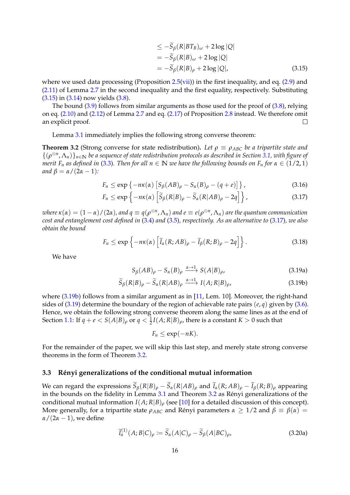$$
\leq -\tilde{S}_{\beta}(R|BT_B)_{\omega} + 2\log|Q|
$$
  
=  $-\tilde{S}_{\beta}(R|B)_{\omega} + 2\log|Q|$   
=  $-\tilde{S}_{\beta}(R|B)_{\rho} + 2\log|Q|$ , (3.15)

where we used data processing (Proposition [2.5](#page-7-0)[\(vii\)](#page-8-4)) in the first inequality, and eq.  $(2.9)$  and [\(2.11\)](#page-9-2) of Lemma [2.7](#page-9-5) in the second inequality and the first equality, respectively. Substituting [\(3.15\)](#page-15-4) in [\(3.14\)](#page-15-4) now yields [\(3.8\)](#page-15-0).

The bound [\(3.9\)](#page-15-5) follows from similar arguments as those used for the proof of [\(3.8\)](#page-15-0), relying on eq. [\(2.10\)](#page-9-3) and [\(2.12\)](#page-9-4) of Lemma [2.7](#page-9-5) and eq. [\(2.17\)](#page-10-7) of Proposition [2.8](#page-10-1) instead. We therefore omit an explicit proof.  $\Box$ 

Lemma [3.1](#page-14-3) immediately implies the following strong converse theorem:

<span id="page-16-0"></span>**Theorem 3.2** (Strong converse for state redistribution). Let  $\rho \equiv \rho_{ABC}$  be a tripartite state and {(*ρ* ⊗*n* , Λ*n*)}*n*∈**<sup>N</sup>** *be a sequence of state redistribution protocols as described in Section [3.1,](#page-12-1) with figure of merit*  $F_n$  *as defined in* [\(3.3\)](#page-13-5). Then for all  $n \in \mathbb{N}$  *we have the following bounds on*  $F_n$  for  $\alpha \in (1/2, 1)$ *and*  $\beta = \alpha/(2\alpha - 1)$ *:* 

$$
F_n \le \exp\left\{-n\kappa(\alpha)\left[S_\beta(AB)_\rho - S_\alpha(B)_\rho - (q+e)\right]\right\},\tag{3.16}
$$

$$
F_n \le \exp\left\{-n\kappa(\alpha)\left[\widetilde{S}_{\beta}(R|B)_{\rho} - \widetilde{S}_{\alpha}(R|AB)_{\rho} - 2q\right]\right\},\tag{3.17}
$$

 $\alpha$  *where*  $\kappa(\alpha)=(1-\alpha)/(2\alpha)$ , and  $q\equiv q(\rho^{\otimes n},\Lambda_n)$  and  $e\equiv e(\rho^{\otimes n},\Lambda_n)$  are the quantum communication *cost and entanglement cost defined in* [\(3.4\)](#page-13-1) *and* [\(3.5\)](#page-13-0)*, respectively. As an alternative to* [\(3.17\)](#page-16-1)*, we also obtain the bound*

$$
F_n \le \exp\left\{-n\kappa(\alpha)\left[\widetilde{I}_{\alpha}(R;AB)_{\rho} - \widetilde{I}_{\beta}(R;B)_{\rho} - 2q\right]\right\}.
$$
\n(3.18)

<span id="page-16-3"></span>We have

<span id="page-16-1"></span>
$$
S_{\beta}(AB)_{\rho} - S_{\alpha}(B)_{\rho} \xrightarrow{\alpha \to 1} S(A|B)_{\rho}, \tag{3.19a}
$$

$$
\widetilde{S}_{\beta}(R|B)_{\rho} - \widetilde{S}_{\alpha}(R|AB)_{\rho} \xrightarrow{\alpha \to 1} I(A;R|B)_{\rho},
$$
\n(3.19b)

where  $(3.19b)$  follows from a similar argument as in [\[11,](#page-37-2) Lem. 10]. Moreover, the right-hand sides of [\(3.19\)](#page-16-3) determine the boundary of the region of achievable rate pairs (*e*, *q*) given by [\(3.6\)](#page-14-1). Hence, we obtain the following strong converse theorem along the same lines as at the end of Section [1.1:](#page-1-0) If  $q + e < S(A|B)_{\rho}$  or  $q < \frac{1}{2} I(A;R|B)_{\rho}$ , there is a constant  $K > 0$  such that

<span id="page-16-2"></span>
$$
F_n \leq \exp(-nK).
$$

For the remainder of the paper, we will skip this last step, and merely state strong converse theorems in the form of Theorem [3.2.](#page-16-0)

### **3.3 R´enyi generalizations of the conditional mutual information**

We can regard the expressions  $\widetilde{S}_{\beta}(R|B)_{\rho} - \widetilde{S}_{\alpha}(R|AB)_{\rho}$  and  $\widetilde{I}_{\alpha}(R;AB)_{\rho} - \widetilde{I}_{\beta}(R;B)_{\rho}$  appearing in the bounds on the fidelity in Lemma  $3.1$  and Theorem  $3.2$  as Rényi generalizations of the conditional mutual information  $I(A; R|B)$ <sub>*ρ*</sub> (see [\[10\]](#page-37-6) for a detailed discussion of this concept). More generally, for a tripartite state  $\rho_{ABC}$  and Rényi parameters  $\alpha \geq 1/2$  and  $\beta \equiv \beta(\alpha) =$  $\alpha/(2\alpha-1)$ , we define

<span id="page-16-4"></span>
$$
\widetilde{I}_{\alpha}^{(1)}(A;B|C)_{\rho} := \widetilde{S}_{\alpha}(A|C)_{\rho} - \widetilde{S}_{\beta}(A|BC)_{\rho},
$$
\n(3.20a)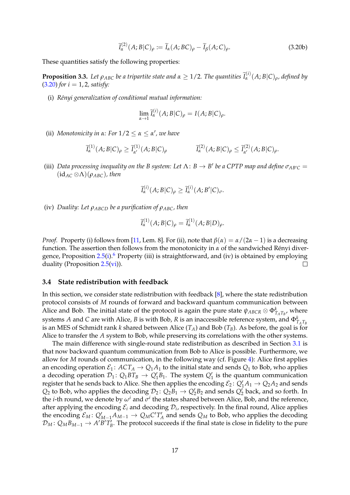$$
\widetilde{I}_{\alpha}^{(2)}(A;B|C)_{\rho} := \widetilde{I}_{\alpha}(A;BC)_{\rho} - \widetilde{I}_{\beta}(A;C)_{\rho}.
$$
\n(3.20b)

These quantities satisfy the following properties:

**Proposition 3.3.** Let  $\rho_{ABC}$  be a tripartite state and  $\alpha \geq 1/2$ . The quantities  $\tilde{I}^{(i)}_{\alpha}(A;B|C)_{\rho}$ , defined by [\(3.20\)](#page-16-4) *for i* = 1, 2*, satisfy:*

(i) *R´enyi generalization of conditional mutual information:*

$$
\lim_{\alpha \to 1} \widetilde{I}_{\alpha}^{(i)}(A;B|C)_{\rho} = I(A;B|C)_{\rho}.
$$

(ii) *Monotonicity in*  $\alpha$ : For  $1/2 \leq \alpha \leq \alpha'$ , we have

$$
\widetilde{I}_{\alpha}^{(1)}(A;B|C)_{\rho} \ge \widetilde{I}_{\alpha'}^{(1)}(A;B|C)_{\rho} \qquad \qquad \widetilde{I}_{\alpha}^{(2)}(A;B|C)_{\rho} \le \widetilde{I}_{\alpha'}^{(2)}(A;B|C)_{\rho}.
$$

(iii) *Data processing inequality on the B system: Let*  $\Lambda$ :  $B \to B'$  *be a CPTP map and define*  $\sigma_{AB'C} =$  $(id_{AC} \otimes \Lambda)(\rho_{ABC})$ , then

$$
\widetilde{I}_{\alpha}^{(i)}(A;B|C)_{\rho}\geq \widetilde{I}_{\alpha}^{(i)}(A;B'|C)_{\sigma}.
$$

(iv) *Duality: Let ρABCD be a purification of ρABC, then*

$$
\widetilde{I}_{\alpha}^{(1)}(A;B|C)_{\rho}=\widetilde{I}_{\alpha}^{(1)}(A;B|D)_{\rho}.
$$

*Proof.* Property (i) follows from [\[11,](#page-37-2) Lem. 8]. For (ii), note that  $\beta(\alpha) = \alpha/(2\alpha - 1)$  is a decreasing function. The assertion then follows from the monotonicity in  $\alpha$  of the sandwiched Rényi divergence, Proposition  $2.5(i)$  $2.5(i)$ .<sup>[6](#page-18-1)</sup> Property (iii) is straightforward, and (iv) is obtained by employing duality (Proposition [2.5](#page-7-0)[\(vi\)](#page-8-7)).  $\Box$ 

#### <span id="page-17-0"></span>**3.4 State redistribution with feedback**

In this section, we consider state redistribution with feedback [\[8\]](#page-37-3), where the state redistribution protocol consists of *M* rounds of forward and backward quantum communication between Alice and Bob. The initial state of the protocol is again the pure state  $\psi_{ABCR} \otimes \Phi_{T_A T_B}^k$ , where systems *A* and *C* are with Alice, *B* is with Bob, *R* is an inaccessible reference system, and  $\Phi_{T_A T_B}^k$ is an MES of Schmidt rank *k* shared between Alice (*TA*) and Bob (*TB*). As before, the goal is for Alice to transfer the *A* system to Bob, while preserving its correlations with the other systems.

The main difference with single-round state redistribution as described in Section [3.1](#page-12-1) is that now backward quantum communication from Bob to Alice is possible. Furthermore, we allow for *M* rounds of communication, in the following way (cf. Figure [4\)](#page-18-2): Alice first applies an encoding operation  $\mathcal{E}_1$ :  $ACT_A \rightarrow Q_1A_1$  to the initial state and sends  $Q_1$  to Bob, who applies a decoding operation  $\mathcal{D}_1$ :  $Q_1 B T_B \rightarrow Q_1 B_1$ . The system  $Q_1$  is the quantum communication register that he sends back to Alice. She then applies the encoding  $\mathcal{E}_2$ :  $Q'_1A_1 \rightarrow Q_2A_2$  and sends  $Q_2$  to Bob, who applies the decoding  $\mathcal{D}_2$ :  $Q_2B_1 \rightarrow Q'_2B_2$  and sends  $Q'_2$  back, and so forth. In the *i*-th round, we denote by  $\omega^i$  and  $\sigma^i$  the states shared between Alice, Bob, and the reference, after applying the encoding  $\mathcal{E}_i$  and decoding  $\mathcal{D}_i$ , respectively. In the final round, Alice applies the encoding  $\mathcal{E}_M$ :  $Q'_{M-1}A_{M-1} \to Q_M C'T'_A$  and sends  $Q_M$  to Bob, who applies the decoding  $\mathcal{D}_M$ :  $Q_M B_{M-1} \to A' \overline{B'} T_B^i$ . The protocol succeeds if the final state is close in fidelity to the pure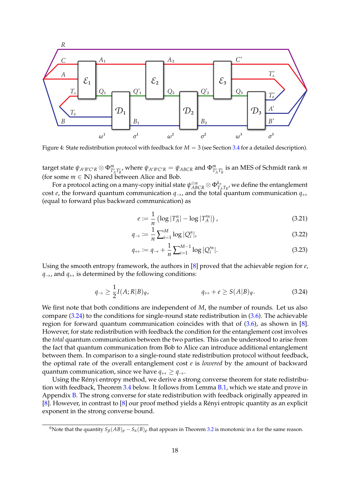<span id="page-18-2"></span>

Figure 4: State redistribution protocol with feedback for  $M = 3$  (see Section [3.4](#page-17-0) for a detailed description).

target state  $\psi_{A'B'C'R}\otimes \Phi^m_{T'_A T'_B}$ , where  $\psi_{A'B'C'R}=\psi_{ABCR}$  and  $\Phi^m_{T'_A T'_B}$  is an MES of Schmidt rank m (for some  $m \in \mathbb{N}$ ) shared between Alice and Bob.

For a protocol acting on a many-copy initial state  $\psi_{ABCR}^{\otimes n}\otimes\Phi_{T_{A}}^{k_{n}}$  $T_{A}^{\kappa_{n}}$  , we define the entanglement cost *e*, the forward quantum communication  $q\rightarrow$ , and the total quantum communication  $q\leftrightarrow$ (equal to forward plus backward communication) as

<span id="page-18-6"></span><span id="page-18-5"></span><span id="page-18-4"></span>
$$
e := \frac{1}{n} \left( \log |T_A^n| - \log |T_A^n| \right),\tag{3.21}
$$

$$
q_{\rightarrow} := \frac{1}{n} \sum_{i=1}^{M} \log |Q_i^n|, \qquad (3.22)
$$

<span id="page-18-3"></span>
$$
q_{\leftrightarrow} := q_{\to} + \frac{1}{n} \sum_{i=1}^{M-1} \log |Q_i''|.
$$
 (3.23)

Using the smooth entropy framework, the authors in [\[8\]](#page-37-3) proved that the achievable region for *e*,  $q\rightarrow$ , and  $q\leftrightarrow$  is determined by the following conditions:

$$
q_{\rightarrow} \ge \frac{1}{2}I(A;R|B)_{\psi}, \qquad \qquad q_{\leftrightarrow} + e \ge S(A|B)_{\psi}.
$$
 (3.24)

We first note that both conditions are independent of *M*, the number of rounds. Let us also compare [\(3.24\)](#page-18-3) to the conditions for single-round state redistribution in [\(3.6\)](#page-14-1). The achievable region for forward quantum communication coincides with that of  $(3.6)$ , as shown in [\[8\]](#page-37-3). However, for state redistribution with feedback the condition for the entanglement cost involves the *total* quantum communication between the two parties. This can be understood to arise from the fact that quantum communication from Bob to Alice can introduce additional entanglement between them. In comparison to a single-round state redistribution protocol without feedback, the optimal rate of the overall entanglement cost *e* is *lowered* by the amount of backward quantum communication, since we have  $q \leftrightarrow \geq q \rightarrow$ .

Using the Rényi entropy method, we derive a strong converse theorem for state redistribution with feedback, Theorem [3.4](#page-18-0) below. It follows from Lemma [B.1,](#page-35-1) which we state and prove in Appendix [B.](#page-35-0) The strong converse for state redistribution with feedback originally appeared in [\[8\]](#page-37-3). However, in contrast to  $[8]$  our proof method yields a Rényi entropic quantity as an explicit exponent in the strong converse bound.

<span id="page-18-1"></span><span id="page-18-0"></span><sup>&</sup>lt;sup>6</sup>Note that the quantity  $S_\beta(AB)_\rho - S_\alpha(B)_\rho$  that appears in Theorem [3.2](#page-16-0) is monotonic in *α* for the same reason.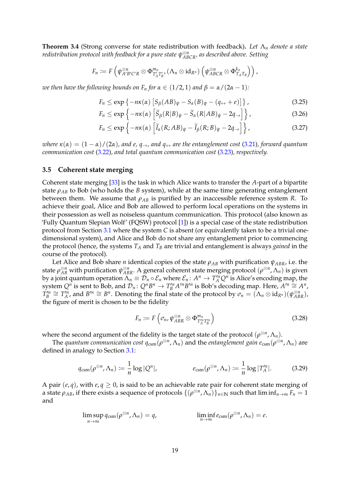**Theorem 3.4** (Strong converse for state redistribution with feedback)**.** *Let* Λ*<sup>n</sup> denote a state redistribution protocol with feedback for a pure state ψ* ⊗*n ABCR, as described above. Setting*

$$
F_n := F\left(\psi_{A'B'C'R}^{\otimes n} \otimes \Phi_{T'_AT'_B}^{m_n}, (\Lambda_n \otimes id_{R^n})\left(\psi_{ABCR}^{\otimes n} \otimes \Phi_{T_A T_B}^{k_n}\right)\right),
$$

*we then have the following bounds on*  $F_n$  *for*  $\alpha \in (1/2, 1)$  *and*  $\beta = \alpha/(2\alpha - 1)$ *:* 

$$
F_n \le \exp\left\{-n\kappa(\alpha)\left[S_\beta(AB)_\psi - S_\alpha(B)_\psi - (q_\leftrightarrow + e)\right]\right\},\tag{3.25}
$$

$$
F_n \le \exp\left\{-n\kappa(\alpha)\left[\widetilde{S}_{\beta}(R|B)_{\psi} - \widetilde{S}_{\alpha}(R|AB)_{\psi} - 2q_{\rightarrow}\right]\right\},\tag{3.26}
$$

$$
F_n \le \exp\left\{-n\kappa(\alpha)\left[\widetilde{I}_{\alpha}(R;AB)_{\psi} - \widetilde{I}_{\beta}(R;B)_{\psi} - 2q_{\rightarrow}\right]\right\},\tag{3.27}
$$

*where*  $\kappa(\alpha) = (1 - \alpha)/(2\alpha)$ , and  $e$ ,  $q\rightarrow$ , and  $q\leftrightarrow$  are the entanglement cost [\(3.21\)](#page-18-4), forward quantum *communication cost* [\(3.22\)](#page-18-5)*, and total quantum communication cost* [\(3.23\)](#page-18-6)*, respectively.*

### <span id="page-19-0"></span>**3.5 Coherent state merging**

Coherent state merging [\[33\]](#page-39-12) is the task in which Alice wants to transfer the *A*-part of a bipartite state  $\rho_{AB}$  to Bob (who holds the *B* system), while at the same time generating entanglement between them. We assume that  $\rho_{AB}$  is purified by an inaccessible reference system *R*. To achieve their goal, Alice and Bob are allowed to perform local operations on the systems in their possession as well as noiseless quantum communication. This protocol (also known as 'Fully Quantum Slepian Wolf' (FQSW) protocol [\[1\]](#page-37-8)) is a special case of the state redistribution protocol from Section [3.1](#page-12-1) where the system *C* is absent (or equivalently taken to be a trivial onedimensional system), and Alice and Bob do not share any entanglement prior to commencing the protocol (hence, the systems  $T_A$  and  $T_B$  are trivial and entanglement is always *gained* in the course of the protocol).

Let Alice and Bob share *n* identical copies of the state *ρAB* with purification *ψABR*, i.e. the state  $\rho_{AB}^{\otimes n}$  with purification  $\psi_{ABR}^{\otimes n}$ . A general coherent state merging protocol  $(\rho^{\otimes n},\Lambda_n)$  is given by a joint quantum operation  $\Lambda_n \equiv \mathcal{D}_n \circ \mathcal{E}_n$  where  $\mathcal{E}_n: A^n \to T_A^n Q^n$  is Alice's encoding map, the system  $Q^n$  is sent to Bob, and  $\mathcal{D}_n: Q^n B^n \to T_B^m A'^n B'^n$  is Bob's decoding map. Here,  $A'^n \cong A^n$ ,  $T_B^{\prime n} \cong T_A^{\prime n}$ , and  $B^{\prime n} \cong B^n$ . Denoting the final state of the protocol by  $\sigma_n = (\Lambda_n \otimes id_{R^n})(\psi_{ABR}^{\otimes n})$ , the figure of merit is chosen to be the fidelity

<span id="page-19-2"></span><span id="page-19-1"></span>
$$
F_n := F\left(\sigma_n, \psi_{ABR}^{\otimes n} \otimes \Phi_{T_A^n T_B^n}^{m_n}\right) \tag{3.28}
$$

where the second argument of the fidelity is the target state of the protocol  $(\rho^{\otimes n}, \Lambda_n)$ .

The *quantum communication cost*  $q_{\text{csm}}(\rho^{\otimes n}, \Lambda_n)$  and the *entanglement gain*  $e_{\text{csm}}(\rho^{\otimes n}, \Lambda_n)$  are defined in analogy to Section [3.1:](#page-12-1)

$$
q_{\text{csm}}(\rho^{\otimes n}, \Lambda_n) := \frac{1}{n} \log |Q^n|, \qquad \qquad e_{\text{csm}}(\rho^{\otimes n}, \Lambda_n) := \frac{1}{n} \log |T_A^n|.
$$
 (3.29)

A pair  $(e, q)$ , with  $e, q \geq 0$ , is said to be an achievable rate pair for coherent state merging of a state  $\rho_{AB}$ , if there exists a sequence of protocols  $\{(\rho^{\otimes n},\Lambda_n)\}_{n\in\mathbb N}$  such that lim in $f_{n\to\infty}$   $F_n=1$ and

$$
\limsup_{n\to\infty} q_{\text{csm}}(\rho^{\otimes n}, \Lambda_n) = q, \qquad \liminf_{n\to\infty} e_{\text{csm}}(\rho^{\otimes n}, \Lambda_n) = e.
$$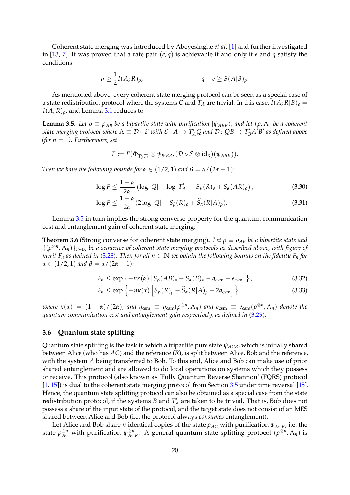Coherent state merging was introduced by Abeyesinghe *et al*. [\[1\]](#page-37-8) and further investigated in [\[13,](#page-38-14) [7\]](#page-37-9). It was proved that a rate pair (*e*, *q*) is achievable if and only if *e* and *q* satisfy the conditions

$$
q \ge \frac{1}{2}I(A;R)_{\rho}, \qquad q - e \ge S(A|B)_{\rho}.
$$

As mentioned above, every coherent state merging protocol can be seen as a special case of a state redistribution protocol where the systems *C* and  $T_A$  are trivial. In this case,  $I(A; R|B)$ <sub>*ρ*</sub> =  $I(A;R)_{\rho}$ , and Lemma [3.1](#page-14-3) reduces to

<span id="page-20-1"></span>**Lemma 3.5.** Let  $\rho \equiv \rho_{AB}$  be a bipartite state with purification  $|\psi_{ABR}\rangle$ , and let  $(\rho, \Lambda)$  be a coherent *state merging protocol where*  $\Lambda \equiv \mathcal{D} \circ \mathcal{E}$  with  $\mathcal{E} \colon A \to T_A'Q$  and  $\mathcal{D} \colon QB \to T_B'A'B'$  as defined above  $for n = 1$ *). Furthermore, set* 

$$
F\coloneqq F(\Phi_{T_{A}'T_{B}'}\otimes \psi_{B'BR}, (\mathcal{D}\circ\mathcal{E}\otimes \mathrm{id}_R)(\psi_{ABR})).
$$

*Then we have the following bounds for*  $\alpha \in (1/2, 1)$  *and*  $\beta = \alpha/(2\alpha - 1)$ *:* 

$$
\log F \le \frac{1-\alpha}{2\alpha} \left( \log |Q| - \log |T_A'| - S_\beta(R)_\rho + S_\alpha(AR)_\rho \right),\tag{3.30}
$$

$$
\log F \le \frac{1-\alpha}{2\alpha} (2\log|Q| - S_{\beta}(R)_{\rho} + \widetilde{S}_{\alpha}(R|A)_{\rho}). \tag{3.31}
$$

Lemma [3.5](#page-20-1) in turn implies the strong converse property for the quantum communication cost and entanglement gain of coherent state merging:

<span id="page-20-2"></span>**Theorem 3.6** (Strong converse for coherent state merging). Let  $\rho \equiv \rho_{AB}$  be a bipartite state and {(*ρ* ⊗*n* , Λ*n*)}*n*∈**<sup>N</sup>** *be a sequence of coherent state merging protocols as described above, with figure of merit*  $F_n$  *as defined in* [\(3.28\)](#page-19-1). Then for all  $n \in \mathbb{N}$  we obtain the following bounds on the fidelity  $F_n$  for  $\alpha \in (1/2, 1)$  *and*  $\beta = \alpha/(2\alpha - 1)$ *:* 

$$
F_n \le \exp\left\{-n\kappa(\alpha)\left[S_\beta(AB)_\rho - S_\alpha(B)_\rho - q_{\rm csm} + e_{\rm csm}\right]\right\},\tag{3.32}
$$

$$
F_n \le \exp\left\{-n\kappa(\alpha)\left[S_\beta(R)_\rho - \widetilde{S}_\alpha(R|A)_\rho - 2q_{\text{csm}}\right]\right\}.
$$
\n(3.33)

*where*  $\kappa(\alpha) = (1 - \alpha)/(2\alpha)$ , and  $q_{\text{csm}} \equiv q_{\text{csm}}(\rho^{\otimes n}, \Lambda_n)$  and  $e_{\text{csm}} \equiv e_{\text{csm}}(\rho^{\otimes n}, \Lambda_n)$  denote the *quantum communication cost and entanglement gain respectively, as defined in* [\(3.29\)](#page-19-2)*.*

# <span id="page-20-0"></span>**3.6 Quantum state splitting**

Quantum state splitting is the task in which a tripartite pure state *ψACR*, which is initially shared between Alice (who has *AC*) and the reference (*R*), is split between Alice, Bob and the reference, with the system *A* being transferred to Bob. To this end, Alice and Bob can make use of prior shared entanglement and are allowed to do local operations on systems which they possess or receive. This protocol (also known as 'Fully Quantum Reverse Shannon' (FQRS) protocol [\[1,](#page-37-8) [15\]](#page-38-15)) is dual to the coherent state merging protocol from Section [3.5](#page-19-0) under time reversal [\[15\]](#page-38-15). Hence, the quantum state splitting protocol can also be obtained as a special case from the state redistribution protocol, if the systems  $B$  and  $T_A$  are taken to be trivial. That is, Bob does not possess a share of the input state of the protocol, and the target state does not consist of an MES shared between Alice and Bob (i.e. the protocol always *consumes* entanglement).

Let Alice and Bob share *n* identical copies of the state *ρAC* with purification *ψACR*, i.e. the state  $\rho_{AC}^{\otimes n}$  with purification  $\psi_{ACR}^{\otimes n}$ . A general quantum state splitting protocol  $(\rho^{\otimes n}, \Lambda_n)$  is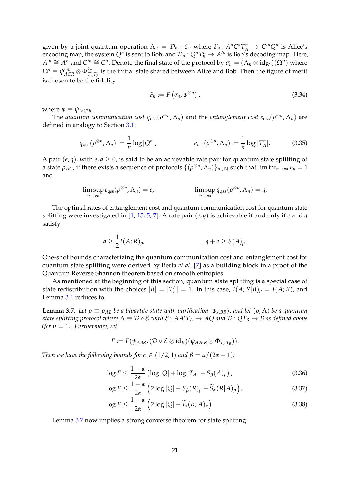given by a joint quantum operation  $\Lambda_n = D_n \circ \mathcal{E}_n$  where  $\mathcal{E}_n: A^n C^n T_A^n \to C^n Q^n$  is Alice's encoding map, the system  $Q^n$  is sent to Bob, and  $\mathcal{D}_n: Q^nT_B^n \to A'^n$  is Bob's decoding map. Here,  $A'^n \cong A^n$  and  $C'^n \cong C^n$ . Denote the final state of the protocol by  $\sigma_n = (\Lambda_n \otimes id_{R^n})(\Omega^n)$  where  $\Omega^n \equiv \psi_{ACR}^{\otimes n} \otimes \Phi_{T_A^{\prime}}^{k_n}$  $T^{n}_{T_A T_B^n}$  is the initial state shared between Alice and Bob. Then the figure of merit is chosen to be the fidelity

<span id="page-21-2"></span><span id="page-21-1"></span>
$$
F_n := F\left(\sigma_n, \psi^{\otimes n}\right),\tag{3.34}
$$

where  $\psi \equiv \psi_{A'C'R}$ .

The *quantum communication cost*  $q_{qss}(\rho^{\otimes n}, \Lambda_n)$  and the *entanglement cost*  $e_{qss}(\rho^{\otimes n}, \Lambda_n)$  are defined in analogy to Section [3.1:](#page-12-1)

$$
q_{\text{qss}}(\rho^{\otimes n}, \Lambda_n) \coloneqq \frac{1}{n} \log |Q^n|, \qquad \qquad e_{\text{qss}}(\rho^{\otimes n}, \Lambda_n) \coloneqq \frac{1}{n} \log |T_A^n|. \tag{3.35}
$$

A pair  $(e, q)$ , with  $e, q \ge 0$ , is said to be an achievable rate pair for quantum state splitting of a state  $\rho_{AC}$ , if there exists a sequence of protocols  $\{(\rho^{\otimes n},\Lambda_n)\}_{n\in\mathbb{N}}$  such that lim in $f_{n\to\infty}$   $F_n=1$ and

$$
\limsup_{n\to\infty}e_{\text{qss}}(\rho^{\otimes n},\Lambda_n)=e,\qquad\qquad\limsup_{n\to\infty}q_{\text{qss}}(\rho^{\otimes n},\Lambda_n)=q.
$$

The optimal rates of entanglement cost and quantum communication cost for quantum state splitting were investigated in [\[1,](#page-37-8) [15,](#page-38-15) [5,](#page-37-10) [7\]](#page-37-9): A rate pair (*e*, *q*) is achievable if and only if *e* and *q* satisfy

$$
q \ge \frac{1}{2}I(A;R)_{\rho}, \qquad q + e \ge S(A)_{\rho}.
$$

One-shot bounds characterizing the quantum communication cost and entanglement cost for quantum state splitting were derived by Berta *et al*. [\[7\]](#page-37-9) as a building block in a proof of the Quantum Reverse Shannon theorem based on smooth entropies.

As mentioned at the beginning of this section, quantum state splitting is a special case of state redistribution with the choices  $|B| = |T'_A| = 1$ . In this case,  $I(A;R|B)_{\rho} = I(A;R)$ , and Lemma [3.1](#page-14-3) reduces to

<span id="page-21-0"></span>**Lemma 3.7.** Let  $\rho \equiv \rho_{AB}$  be a bipartite state with purification  $|\psi_{ABR}\rangle$ , and let  $(\rho, \Lambda)$  be a quantum *state splitting protocol where*  $\Lambda \equiv \mathcal{D} \circ \mathcal{E}$  with  $\mathcal{E} \colon AA'T_A \to AQ$  and  $\mathcal{D} \colon QT_B \to B$  as defined above *(for*  $n = 1$ *). Furthermore, set* 

$$
F \coloneqq F(\psi_{ABR}, (\mathcal{D} \circ \mathcal{E} \otimes id_R)(\psi_{AA'R} \otimes \Phi_{T_A T_B})).
$$

*Then we have the following bounds for*  $\alpha \in (1/2, 1)$  *and*  $\beta = \alpha/(2\alpha - 1)$ *:* 

$$
\log F \le \frac{1-\alpha}{2\alpha} \left( \log |Q| + \log |T_A| - S_\beta(A)_\rho \right),\tag{3.36}
$$

$$
\log F \le \frac{1-\alpha}{2\alpha} \left( 2\log|Q| - S_{\beta}(R)_{\rho} + \widetilde{S}_{\alpha}(R|A)_{\rho} \right),\tag{3.37}
$$

$$
\log F \le \frac{1-\alpha}{2\alpha} \left( 2\log|Q| - \widetilde{I}_{\alpha}(R;A)_{\rho} \right). \tag{3.38}
$$

<span id="page-21-3"></span>Lemma [3.7](#page-21-0) now implies a strong converse theorem for state splitting: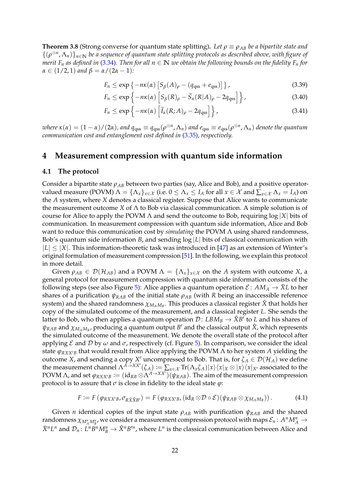**Theorem 3.8** (Strong converse for quantum state splitting). Let  $\rho \equiv \rho_{AB}$  be a bipartite state and {(*ρ* ⊗*n* , Λ*n*)}*n*∈**<sup>N</sup>** *be a sequence of quantum state splitting protocols as described above, with figure of merit*  $F_n$  *as defined in* [\(3.34\)](#page-21-1). Then for all  $n \in \mathbb{N}$  we obtain the following bounds on the fidelity  $F_n$  for  $\alpha \in (1/2, 1)$  *and*  $\beta = \alpha/(2\alpha - 1)$ *:* 

$$
F_n \le \exp\left\{-n\kappa(\alpha)\left[S_\beta(A)_\rho - (q_{\rm qss} + e_{\rm qss})\right]\right\},\tag{3.39}
$$

$$
F_n \le \exp\left\{-n\kappa(\alpha)\left[S_\beta(R)_\rho - \widetilde{S}_\alpha(R|A)_\rho - 2q_{\rm qss}\right]\right\},\tag{3.40}
$$

$$
F_n \le \exp\left\{-n\kappa(\alpha)\left[\widetilde{I}_\alpha(R;A)_\rho - 2q_{qss}\right]\right\},\tag{3.41}
$$

where  $\kappa(\alpha)=(1-\alpha)/(2\alpha)$ , and  $q_{\rm qss}\equiv q_{\rm qss}(\rho^{\otimes n},\Lambda_n)$  and  $e_{\rm qss}\equiv e_{\rm qss}(\rho^{\otimes n},\Lambda_n)$  denote the quantum *communication cost and entanglement cost defined in* [\(3.35\)](#page-21-2)*, respectively.*

# <span id="page-22-0"></span>**4 Measurement compression with quantum side information**

#### <span id="page-22-1"></span>**4.1 The protocol**

Consider a bipartite state *ρAB* between two parties (say, Alice and Bob), and a positive operatorvalued measure (POVM)  $\Lambda = {\Lambda_x}_{x \in \mathcal{X}}$  (i.e.  $0 \leq \Lambda_x \leq I_A$  for all  $x \in \mathcal{X}$  and  $\sum_{x \in \mathcal{X}} \Lambda_x = I_A$ ) on the *A* system, where *X* denotes a classical register. Suppose that Alice wants to communicate the measurement outcome *X* of Λ to Bob via classical communication. A simple solution is of course for Alice to apply the POVM Λ and send the outcome to Bob, requiring log |*X*| bits of communication. In measurement compression with quantum side information, Alice and Bob want to reduce this communication cost by *simulating* the POVM Λ using shared randomness, Bob's quantum side information *B*, and sending log |*L*| bits of classical communication with  $|L| < |X|$ . This information-theoretic task was introduced in  $[47]$  as an extension of Winter's original formulation of measurement compression [\[51\]](#page-40-6). In the following, we explain this protocol in more detail.

Given  $\rho_{AB} \in \mathcal{D}(\mathcal{H}_{AB})$  and a POVM  $\Lambda = {\Lambda_x}_{x \in \mathcal{X}}$  on the A system with outcome X, a general protocol for measurement compression with quantum side information consists of the following steps (see also Figure [5\)](#page-23-0): Alice applies a quantum operation  $\mathcal{E}: AM_A \to \overline{X}L$  to her shares of a purification *ψRAB* of the initial state *ρAB* (with *R* being an inaccessible reference  $s$ ystem) and the shared randomness  $\chi_{M_A M_B}$ . This produces a classical register  $\bar{X}$  that holds her copy of the simulated outcome of the measurement, and a classical register *L*. She sends the latter to Bob, who then applies a quantum operation  $\mathcal{D}\colon LBM_B\to \hat X B'$  to  $L$  and his shares of  $\psi_{RAB}$  and  $\chi_{M_A M_B}$ , producing a quantum output  $B'$  and the classical output  $\hat{X}$ , which represents the simulated outcome of the measurement. We denote the overall state of the protocol after applying  $\mathcal E$  and  $\mathcal D$  by  $\omega$  and  $\sigma$ , respectively (cf. Figure [5\)](#page-23-0). In comparison, we consider the ideal state  $\varphi_{RXYB}$  that would result from Alice applying the POVM  $\Lambda$  to her system A yielding the outcome *X*, and sending a copy *X'* uncompressed to Bob. That is, for  $\zeta_A \in \mathcal{D}(\mathcal{H}_A)$  we define the measurement channel  $\Lambda^{A\to XX'}(\zeta_A) := \sum_{x\in\mathcal{X}} \text{Tr}(\Lambda_x \zeta_A)|x\rangle\langle x|_X\otimes|x\rangle\langle x|_{X'}$  associated to the POVM  $\Lambda$ , and set  $\varphi_{RXX'B} := (\mathrm{id}_{RB} \otimes \Lambda^{A \to XX} \hat{N} \setminus (\psi_{RAB})$ . The aim of the measurement compression protocol is to assure that  $\sigma$  is close in fidelity to the ideal state  $\varphi$ :

$$
F := F(\varphi_{RXYB}, \sigma_{R\bar{X}\hat{X}B'}) = F(\varphi_{RXYB}, (\mathrm{id}_R \otimes \mathcal{D} \circ \mathcal{E})(\psi_{RAB} \otimes \chi_{M_AM_B})). \tag{4.1}
$$

Given *n* identical copies of the input state  $\rho_{AB}$  with purification  $\psi_{RAB}$  and the shared  $\tau$  randomness  $\chi_{M_A^nM_B^n}$ , we consider a measurement compression protocol with maps  $\mathcal{E}_n\colon A^nM_A^n\to\mathcal{E}_n$  $\bar{X}^nL^n$  and  $\mathcal{D}_n: L^nB^nM_B^n \to \hat{X}^nB'^n$ , where  $L^n$  is the classical communication between Alice and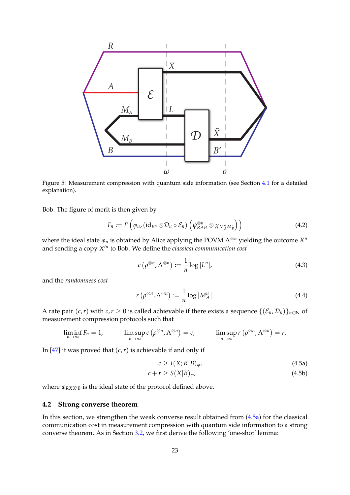<span id="page-23-0"></span>

Figure 5: Measurement compression with quantum side information (see Section [4.1](#page-22-1) for a detailed explanation).

Bob. The figure of merit is then given by

$$
F_n := F\left(\varphi_n, (\mathrm{id}_{R^n} \otimes \mathcal{D}_n \circ \mathcal{E}_n) \left(\psi_{RAB}^{\otimes n} \otimes \chi_{M_A^n M_B^n}\right)\right) \tag{4.2}
$$

where the ideal state  $\varphi_n$  is obtained by Alice applying the POVM  $\Lambda^{\otimes n}$  yielding the outcome  $X^n$ and sending a copy  $X^{\prime n}$  to Bob. We define the *classical communication cost* 

<span id="page-23-3"></span><span id="page-23-2"></span>
$$
c\left(\rho^{\otimes n}, \Lambda^{\otimes n}\right) := \frac{1}{n} \log |L^n|,\tag{4.3}
$$

and the *randomness cost*

$$
r\left(\rho^{\otimes n}, \Lambda^{\otimes n}\right) := \frac{1}{n} \log |M_A^n|.\tag{4.4}
$$

A rate pair  $(c, r)$  with  $c, r \ge 0$  is called achievable if there exists a sequence  $\{(\mathcal{E}_n, \mathcal{D}_n)\}_{n \in \mathbb{N}}$  of measurement compression protocols such that

$$
\liminf_{n\to\infty} F_n = 1, \qquad \limsup_{n\to\infty} c\left(\rho^{\otimes n}, \Lambda^{\otimes n}\right) = c, \qquad \limsup_{n\to\infty} r\left(\rho^{\otimes n}, \Lambda^{\otimes n}\right) = r.
$$

In  $[47]$  it was proved that  $(c, r)$  is achievable if and only if

<span id="page-23-5"></span><span id="page-23-4"></span><span id="page-23-1"></span>
$$
c \ge I(X;R|B)_{\varphi},\tag{4.5a}
$$

$$
c + r \ge S(X|B)_{\varphi},\tag{4.5b}
$$

where  $\varphi_{RXYB}$  is the ideal state of the protocol defined above.

## **4.2 Strong converse theorem**

<span id="page-23-6"></span>In this section, we strengthen the weak converse result obtained from [\(4.5a\)](#page-23-1) for the classical communication cost in measurement compression with quantum side information to a strong converse theorem. As in Section [3.2,](#page-14-4) we first derive the following 'one-shot' lemma: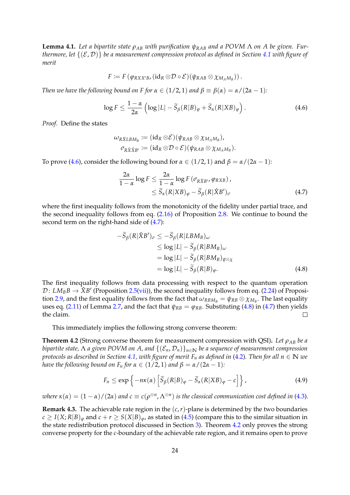**Lemma 4.1.** Let a bipartite state  $ρ_{AB}$  with purification  $ψ_{RAB}$  and a POVM Λ on A be given. Fur*thermore, let*  $\{(\mathcal{E}, \mathcal{D})\}$  *be a measurement compression protocol as defined in Section* [4.1](#page-22-1) *with figure of merit*

$$
F\coloneqq F\left(\phi_{RXX'B}, (\mathrm{id}_R\otimes\mathcal{D}\circ\mathcal{E})(\psi_{RAB}\otimes\chi_{M_AM_B})\right).
$$

*Then we have the following bound on F for*  $\alpha \in (1/2, 1)$  *and*  $\beta \equiv \beta(\alpha) = \alpha/(2\alpha - 1)$ *:* 

$$
\log F \le \frac{1-\alpha}{2\alpha} \left( \log |L| - \widetilde{S}_{\beta}(R|B)_{\varphi} + \widetilde{S}_{\alpha}(R|XB)_{\varphi} \right). \tag{4.6}
$$

*Proof.* Define the states

<span id="page-24-0"></span>
$$
\omega_{R\tilde{\chi}LBM_B} \coloneqq (\operatorname{id}_R \otimes \mathcal{E})(\psi_{RAB} \otimes \chi_{M_AM_B}), \\ \sigma_{R\tilde{\chi}\hat{\chi}_{B'}} \coloneqq (\operatorname{id}_R \otimes \mathcal{D} \circ \mathcal{E})(\psi_{RAB} \otimes \chi_{M_AM_B}).
$$

To prove [\(4.6\)](#page-24-0), consider the following bound for  $\alpha \in (1/2, 1)$  and  $\beta = \alpha/(2\alpha - 1)$ :

<span id="page-24-1"></span>
$$
\frac{2\alpha}{1-\alpha}\log F \le \frac{2\alpha}{1-\alpha}\log F\left(\sigma_{R\hat{X}B}, \varphi_{RXB}\right),\le \widetilde{S}_{\alpha}(R|XB)_{\varphi} - \widetilde{S}_{\beta}(R|\hat{X}B')_{\sigma}
$$
\n(4.7)

where the first inequality follows from the monotonicity of the fidelity under partial trace, and the second inequality follows from eq. [\(2.16\)](#page-10-4) of Proposition [2.8.](#page-10-1) We continue to bound the second term on the right-hand side of [\(4.7\)](#page-24-1):

$$
-\widetilde{S}_{\beta}(R|\hat{X}B')_{\sigma} \le -\widetilde{S}_{\beta}(R|LBM_B)_{\omega}
$$
  
\n
$$
\le \log |L| - \widetilde{S}_{\beta}(R|BM_B)_{\omega}
$$
  
\n
$$
= \log |L| - \widetilde{S}_{\beta}(R|BM_B)_{\psi \otimes \chi}
$$
  
\n
$$
= \log |L| - \widetilde{S}_{\beta}(R|B)_{\varphi}.
$$
\n(4.8)

The first inequality follows from data processing with respect to the quantum operation  $\mathcal{D}\colon LM_B B\to \hat{X}B'$  (Proposition [2.5\(](#page-7-0)[vii\)](#page-8-4)), the second inequality follows from eq. [\(2.24\)](#page-12-2) of Proposi-tion [2.9,](#page-11-1) and the first equality follows from the fact that  $\omega_{RBM_B} = \psi_{RB} \otimes \chi_{M_B}$ . The last equality uses eq. [\(2.11\)](#page-9-2) of Lemma [2.7,](#page-9-5) and the fact that  $\psi_{RB} = \varphi_{RB}$ . Substituting [\(4.8\)](#page-24-1) in [\(4.7\)](#page-24-1) then yields the claim.  $\Box$ 

This immediately implies the following strong converse theorem:

<span id="page-24-2"></span>**Theorem 4.2** (Strong converse theorem for measurement compression with QSI)**.** *Let ρAB be a bipartite state,*  $\Lambda$  *a given POVM on*  $A$ , and  $\{(\mathcal{E}_n, \mathcal{D}_n)\}_{n\in\mathbb{N}}$  *be a sequence of measurement compression protocols as described in Section* [4.1,](#page-22-1) *with figure of merit*  $F_n$  *as defined in* [\(4.2\)](#page-23-2). Then for all  $n \in \mathbb{N}$  we *have the following bound on*  $F_n$  *for*  $\alpha \in (1/2, 1)$  *and*  $\beta = \alpha/(2\alpha - 1)$ *:* 

$$
F_n \le \exp\left\{-n\kappa(\alpha)\left[\widetilde{S}_{\beta}(R|B)_{\varphi} - \widetilde{S}_{\alpha}(R|XB)_{\varphi} - c\right]\right\},\tag{4.9}
$$

*where*  $\kappa(\alpha) = (1-\alpha)/(2\alpha)$  and  $c \equiv c(\rho^{\otimes n}, \Lambda^{\otimes n})$  is the classical communication cost defined in [\(4.3\)](#page-23-3).

**Remark 4.3.** The achievable rate region in the  $(c, r)$ -plane is determined by the two boundaries  $c \ge I(X; R|B)_{\varphi}$  and  $c + r \ge S(X|B)_{\varphi}$ , as stated in [\(4.5\)](#page-23-4) (compare this to the similar situation in the state redistribution protocol discussed in Section [3\)](#page-12-0). Theorem [4.2](#page-24-2) only proves the strong converse property for the *c*-boundary of the achievable rate region, and it remains open to prove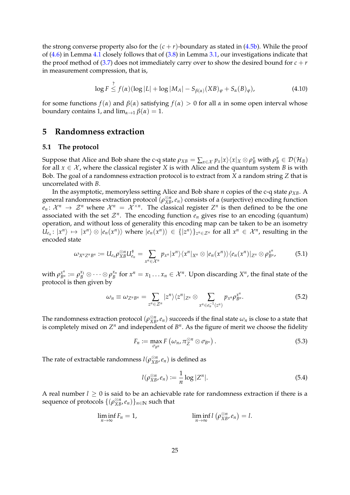the strong converse property also for the  $(c + r)$ -boundary as stated in  $(4.5b)$ . While the proof of [\(4.6\)](#page-24-0) in Lemma [4.1](#page-23-6) closely follows that of [\(3.8\)](#page-15-0) in Lemma [3.1,](#page-14-3) our investigations indicate that the proof method of [\(3.7\)](#page-14-2) does not immediately carry over to show the desired bound for  $c + r$ in measurement compression, that is,

$$
\log F \stackrel{?}{\leq} f(\alpha)(\log|L| + \log|M_A| - S_{\beta(\alpha)}(XB)_{\varphi} + S_{\alpha}(B)_{\varphi}), \tag{4.10}
$$

for some functions  $f(\alpha)$  and  $\beta(\alpha)$  satisfying  $f(\alpha) > 0$  for all  $\alpha$  in some open interval whose boundary contains 1, and  $\lim_{\alpha \to 1} \beta(\alpha) = 1$ .

# <span id="page-25-0"></span>**5 Randomness extraction**

### <span id="page-25-1"></span>**5.1 The protocol**

Suppose that Alice and Bob share the c-q state  $\rho_{XB} = \sum_{x \in \mathcal{X}} p_x |x\rangle\langle x|_X \otimes \rho_B^x$  with  $\rho_B^x \in \mathcal{D}(\mathcal{H}_B)$ for all  $x \in \mathcal{X}$ , where the classical register *X* is with Alice and the quantum system *B* is with Bob. The goal of a randomness extraction protocol is to extract from *X* a random string *Z* that is uncorrelated with *B*.

In the asymptotic, memoryless setting Alice and Bob share *n* copies of the c-q state *ρXB*. A general randomness extraction protocol ( $ρ_{XB}^{\otimes n}$ , *e<sub>n</sub>*) consists of a (surjective) encoding function  $e_n: \mathcal{X}^n \to \mathcal{Z}^n$  where  $\mathcal{X}^n = \mathcal{X}^{\times n}$ . The classical register  $Z^n$  is then defined to be the one associated with the set  $\mathcal{Z}^n$ . The encoding function  $e_n$  gives rise to an encoding (quantum) operation, and without loss of generality this encoding map can be taken to be an isometry  $U_{e_n}: |x^n\rangle \mapsto |x^n\rangle \otimes |e_n(x^n)\rangle$  where  $|e_n(x^n)\rangle \in \{|z^n\rangle\}_{z^n \in \mathcal{Z}^n}$  for all  $x^n \in \mathcal{X}^n$ , resulting in the encoded state

$$
\omega_{X^n Z^n B^n} := U_{e_n} \rho_{XB}^{\otimes n} U_{e_n}^{\dagger} = \sum_{x^n \in \mathcal{X}^n} p_{x^n} |x^n\rangle\langle x^n|_{X^n} \otimes |e_n(x^n)\rangle\langle e_n(x^n)|_{Z^n} \otimes \rho_{B^n}^{x^n}, \tag{5.1}
$$

with  $\rho_{B^n}^{x^n} := \rho_B^{x_1} \otimes \cdots \otimes \rho_B^{x_n}$  for  $x^n = x_1 \ldots x_n \in \mathcal{X}^n$ . Upon discarding  $X^n$ , the final state of the protocol is then given by

$$
\omega_n \equiv \omega_{Z^n B^n} = \sum_{z^n \in \mathcal{Z}^n} |z^n\rangle \langle z^n|_{Z^n} \otimes \sum_{x^n \in e_n^{-1}(z^n)} p_{x^n} \rho_{B^n}^{x^n}.
$$
\n(5.2)

The randomness extraction protocol  $(\rho_{XB}^{\otimes n},e_n)$  succeeds if the final state  $\omega_n$  is close to a state that is completely mixed on  $Z^n$  and independent of  $B^n$ . As the figure of merit we choose the fidelity

$$
F_n := \max_{\sigma_{B^n}} F\left(\omega_n, \pi_{Z}^{\otimes n} \otimes \sigma_{B^n}\right).
$$
 (5.3)

The rate of extractable randomness  $l(\rho_{XB}^{\otimes n}, e_n)$  is defined as

<span id="page-25-3"></span><span id="page-25-2"></span>
$$
l(\rho_{XB}^{\otimes n}, e_n) := \frac{1}{n} \log |Z^n|.
$$
\n(5.4)

A real number  $l \geq 0$  is said to be an achievable rate for randomness extraction if there is a sequence of protocols  $\{(\rho_{XB}^{\otimes n}, e_n)\}_{n\in\mathbb{N}}$  such that

$$
\liminf_{n\to\infty} F_n = 1, \qquad \liminf_{n\to\infty} l\left(\rho_{XB}^{\otimes n}, e_n\right) = l.
$$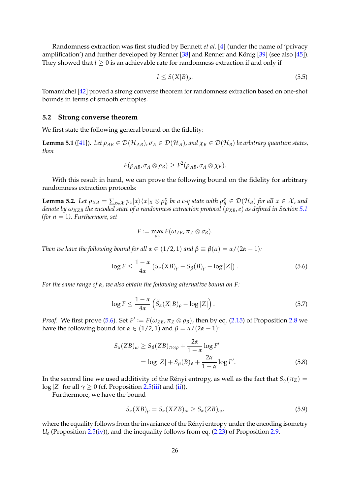Randomness extraction was first studied by Bennett *et al*. [\[4\]](#page-37-11) (under the name of 'privacy amplification') and further developed by Renner  $[38]$  and Renner and König  $[39]$  $[39]$  (see also  $[45]$ ). They showed that  $l \geq 0$  is an achievable rate for randomness extraction if and only if

$$
l \le S(X|B)_{\rho}.\tag{5.5}
$$

Tomamichel [\[42\]](#page-39-7) proved a strong converse theorem for randomness extraction based on one-shot bounds in terms of smooth entropies.

### **5.2 Strong converse theorem**

We first state the following general bound on the fidelity:

<span id="page-26-3"></span>**Lemma 5.1** ([\[41\]](#page-39-0)). Let  $\rho_{AB} \in \mathcal{D}(\mathcal{H}_{AB})$ ,  $\sigma_A \in \mathcal{D}(\mathcal{H}_A)$ , and  $\chi_B \in \mathcal{D}(\mathcal{H}_B)$  be arbitrary quantum states, *then*

$$
F(\rho_{AB},\sigma_A\otimes\rho_B)\ge F^2(\rho_{AB},\sigma_A\otimes\chi_B).
$$

With this result in hand, we can prove the following bound on the fidelity for arbitrary randomness extraction protocols:

**Lemma 5.2.** Let  $\rho_{XB} = \sum_{x \in \mathcal{X}} p_x |x\rangle\langle x|_X \otimes \rho_B^x$  be a c-q state with  $\rho_B^x \in \mathcal{D}(\mathcal{H}_B)$  for all  $x \in \mathcal{X}$ , and *denote by*  $\omega_{XZB}$  *the encoded state of a randomness extraction protocol* ( $\rho_{XB}$ *,e) as defined in Section* [5.1](#page-25-1) *(for*  $n = 1$ *). Furthermore, set* 

<span id="page-26-4"></span><span id="page-26-0"></span>
$$
F\coloneqq \max_{\sigma_B} F(\omega_{ZB}, \pi_Z\otimes \sigma_B).
$$

*Then we have the following bound for all*  $\alpha \in (1/2, 1)$  *and*  $\beta \equiv \beta(\alpha) = \alpha/(2\alpha - 1)$ *:* 

$$
\log F \le \frac{1-\alpha}{4\alpha} \left( S_{\alpha}(XB)_{\rho} - S_{\beta}(B)_{\rho} - \log |Z| \right). \tag{5.6}
$$

*For the same range of α, we also obtain the following alternative bound on F:*

$$
\log F \le \frac{1-\alpha}{4\alpha} \left( \widetilde{S}_{\alpha}(X|B)_{\rho} - \log |Z| \right). \tag{5.7}
$$

*Proof.* We first prove [\(5.6\)](#page-26-0). Set  $F' := F(\omega_{ZB}, \pi_Z \otimes \rho_B)$ , then by eq. [\(2.15\)](#page-10-2) of Proposition [2.8](#page-10-1) we have the following bound for *α* ∈ (1/2, 1) and  $β = α/(2α − 1)$ :

$$
S_{\alpha}(ZB)_{\omega} \ge S_{\beta}(ZB)_{\pi \otimes \rho} + \frac{2\alpha}{1 - \alpha} \log F'
$$
  
=  $\log |Z| + S_{\beta}(B)_{\rho} + \frac{2\alpha}{1 - \alpha} \log F'.$  (5.8)

In the second line we used additivity of the Rényi entropy, as well as the fact that  $S_\gamma(\pi_Z) =$ log |*Z*| for all  $\gamma \ge 0$  (cf. Proposition [2.5](#page-7-0)[\(iii\)](#page-7-3) and [\(ii\)](#page-7-4)).

Furthermore, we have the bound

<span id="page-26-2"></span><span id="page-26-1"></span>
$$
S_{\alpha}(XB)_{\rho} = S_{\alpha}(XZB)_{\omega} \ge S_{\alpha}(ZB)_{\omega},\tag{5.9}
$$

where the equality follows from the invariance of the Rényi entropy under the encoding isometry  $U_e$  (Proposition [2.5](#page-7-0)[\(iv\)](#page-8-8)), and the inequality follows from eq. [\(2.23\)](#page-11-0) of Proposition [2.9.](#page-11-1)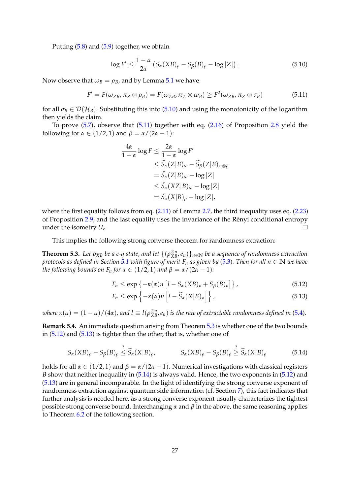Putting [\(5.8\)](#page-26-1) and [\(5.9\)](#page-26-2) together, we obtain

<span id="page-27-0"></span>
$$
\log F' \le \frac{1-\alpha}{2\alpha} \left( S_{\alpha}(XB)_{\rho} - S_{\beta}(B)_{\rho} - \log |Z| \right). \tag{5.10}
$$

Now observe that  $\omega_B = \rho_B$ , and by Lemma [5.1](#page-26-3) we have

$$
F' = F(\omega_{ZB}, \pi_Z \otimes \rho_B) = F(\omega_{ZB}, \pi_Z \otimes \omega_B) \ge F^2(\omega_{ZB}, \pi_Z \otimes \sigma_B)
$$
(5.11)

for all  $\sigma_B \in \mathcal{D}(\mathcal{H}_B)$ . Substituting this into [\(5.10\)](#page-27-0) and using the monotonicity of the logarithm then yields the claim.

To prove [\(5.7\)](#page-26-4), observe that [\(5.11\)](#page-27-1) together with eq. [\(2.16\)](#page-10-4) of Proposition [2.8](#page-10-1) yield the following for  $\alpha \in (1/2, 1)$  and  $\beta = \alpha/(2\alpha - 1)$ :

<span id="page-27-1"></span>
$$
\frac{4\alpha}{1-\alpha}\log F \le \frac{2\alpha}{1-\alpha}\log F'
$$
  
\n
$$
\le \widetilde{S}_{\alpha}(Z|B)_{\omega} - \widetilde{S}_{\beta}(Z|B)_{\pi\otimes\rho}
$$
  
\n
$$
= \widetilde{S}_{\alpha}(Z|B)_{\omega} - \log|Z|
$$
  
\n
$$
\le \widetilde{S}_{\alpha}(XZ|B)_{\omega} - \log|Z|
$$
  
\n
$$
= \widetilde{S}_{\alpha}(X|B)_{\rho} - \log|Z|,
$$

where the first equality follows from eq.  $(2.11)$  of Lemma [2.7,](#page-9-5) the third inequality uses eq.  $(2.23)$ of Proposition [2.9,](#page-11-1) and the last equality uses the invariance of the Rényi conditional entropy  $\Box$ under the isometry *U<sup>e</sup>* .

This implies the following strong converse theorem for randomness extraction:

<span id="page-27-2"></span>**Theorem 5.3.** Let  $\rho_{XB}$  be a c-q state, and let  $\{(\rho_{XB}^{\otimes n}, e_n)\}_{n\in\mathbb{N}}$  be a sequence of randomness extraction *protocols as defined in Section* [5.1](#page-25-1) *with figure of merit*  $F_n$  *as given by* [\(5.3\)](#page-25-2). Then for all  $n \in \mathbb{N}$  *we have the following bounds on*  $F_n$  *for*  $\alpha \in (1/2, 1)$  *and*  $\beta = \alpha/(2\alpha - 1)$ *:* 

<span id="page-27-4"></span><span id="page-27-3"></span>
$$
F_n \le \exp\left\{-\kappa(\alpha)n\left[l - S_\alpha(XB)_\rho + S_\beta(B)_\rho\right]\right\},\tag{5.12}
$$

<span id="page-27-5"></span>
$$
F_n \le \exp\left\{-\kappa(\alpha)n\left[l-\widetilde{S}_\alpha(X|B)_\rho\right]\right\},\tag{5.13}
$$

*where*  $\kappa(\alpha) = (1-\alpha)/(4\alpha)$ , and  $l \equiv l(\rho_{XB}^{\otimes n},e_n)$  is the rate of extractable randomness defined in [\(5.4\)](#page-25-3).

<span id="page-27-6"></span>**Remark 5.4.** An immediate question arising from Theorem [5.3](#page-27-2) is whether one of the two bounds in [\(5.12\)](#page-27-3) and [\(5.13\)](#page-27-4) is tighter than the other, that is, whether one of

$$
S_{\alpha}(XB)_{\rho} - S_{\beta}(B)_{\rho} \stackrel{?}{\leq} \widetilde{S}_{\alpha}(X|B)_{\rho}, \qquad S_{\alpha}(XB)_{\rho} - S_{\beta}(B)_{\rho} \stackrel{?}{\geq} \widetilde{S}_{\alpha}(X|B)_{\rho} \qquad (5.14)
$$

holds for all  $\alpha \in (1/2, 1)$  and  $\beta = \alpha/(2\alpha - 1)$ . Numerical investigations with classical registers *B* show that neither inequality in [\(5.14\)](#page-27-5) is always valid. Hence, the two exponents in [\(5.12\)](#page-27-3) and [\(5.13\)](#page-27-4) are in general incomparable. In the light of identifying the strong converse exponent of randomness extraction against quantum side information (cf. Section [7\)](#page-32-0), this fact indicates that further analysis is needed here, as a strong converse exponent usually characterizes the tightest possible strong converse bound. Interchanging *α* and *β* in the above, the same reasoning applies to Theorem [6.2](#page-32-1) of the following section.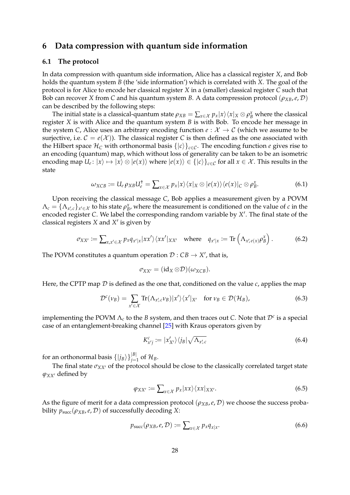# <span id="page-28-0"></span>**6 Data compression with quantum side information**

## <span id="page-28-1"></span>**6.1 The protocol**

In data compression with quantum side information, Alice has a classical register *X*, and Bob holds the quantum system *B* (the 'side information') which is correlated with *X*. The goal of the protocol is for Alice to encode her classical register *X* in a (smaller) classical register *C* such that Bob can recover *X* from *C* and his quantum system *B*. A data compression protocol ( $\rho_{XB}, e, \mathcal{D}$ ) can be described by the following steps:

The initial state is a classical-quantum state  $\rho_{XB}=\sum_{x\in\mathcal{X}}p_x|x\rangle\langle x|_X\otimes\rho_B^x$  where the classical register *X* is with Alice and the quantum system *B* is with Bob. To encode her message in the system *C*, Alice uses an arbitrary encoding function  $e : \mathcal{X} \to \mathcal{C}$  (which we assume to be surjective, i.e.  $C = e(\mathcal{X})$ ). The classical register *C* is then defined as the one associated with the Hilbert space  $\mathcal{H}_C$  with orthonormal basis  $\{|c\rangle\}_{c \in \mathcal{C}}$ . The encoding function *e* gives rise to an encoding (quantum) map, which without loss of generality can be taken to be an isometric encoding map  $U_e\colon |x\rangle \mapsto |x\rangle \otimes |e(x)\rangle$  where  $|e(x)\rangle \in \{|c\rangle\}_{c\in\mathcal{C}}$  for all  $x\in\mathcal{X}$ . This results in the state

$$
\omega_{XCB} := U_e \, \rho_{XB} U_e^{\dagger} = \sum_{x \in \mathcal{X}} p_x |x\rangle \langle x |_X \otimes |e(x)\rangle \langle e(x) |_C \otimes \rho_B^x. \tag{6.1}
$$

Upon receiving the classical message *C*, Bob applies a measurement given by a POVM  $\Lambda_c = \{\Lambda_{x',c}\}_{x' \in \mathcal{X}}$  to his state  $\rho_B^x$ , where the measurement is conditioned on the value of *c* in the encoded register C. We label the corresponding random variable by X'. The final state of the classical registers *X* and *X'* is given by

$$
\sigma_{XX'} := \sum_{x,x' \in \mathcal{X}} p_x q_{x'|x} |xx'\rangle \langle xx'|_{XX'} \quad \text{where} \quad q_{x'|x} := \text{Tr}\left(\Lambda_{x',e(x)} \rho_B^x\right). \tag{6.2}
$$

The POVM constitutes a quantum operation  $\mathcal{D}:CB\to X'$ , that is,

<span id="page-28-6"></span><span id="page-28-5"></span><span id="page-28-3"></span>
$$
\sigma_{XX'} = (\mathrm{id}_X \otimes \mathcal{D})(\omega_{XCB}).
$$

Here, the CPTP map  $\mathcal D$  is defined as the one that, conditioned on the value  $c$ , applies the map

$$
\mathcal{D}^{c}(\nu_{B}) = \sum_{x' \in \mathcal{X}} \text{Tr}(\Lambda_{x',c} \nu_{B}) |x'\rangle \langle x'|_{X'} \quad \text{for } \nu_{B} \in \mathcal{D}(\mathcal{H}_{B}), \tag{6.3}
$$

implementing the POVM  $\Lambda_c$  to the *B* system, and then traces out *C*. Note that  $\mathcal{D}^c$  is a special case of an entanglement-breaking channel [\[25\]](#page-38-16) with Kraus operators given by

<span id="page-28-7"></span><span id="page-28-4"></span>
$$
K_{x'j}^c := |x'_{X'}\rangle \langle j_B| \sqrt{\Lambda_{x',c}} \tag{6.4}
$$

for an orthonormal basis  $\{|j_B\rangle\}_{j=1}^{|B|}$  of  $\mathcal{H}_B$ .

The final state  $\sigma_{XX'}$  of the protocol should be close to the classically correlated target state  $\varphi_{XX'}$  defined by

<span id="page-28-2"></span>
$$
\varphi_{XX'} := \sum_{x \in \mathcal{X}} p_x |xx\rangle \langle xx|_{XX'}.
$$
\n(6.5)

As the figure of merit for a data compression protocol  $(\rho_{XB}, e, \mathcal{D})$  we choose the success probability  $p_{succ}(\rho_{XB}, e, \mathcal{D})$  of successfully decoding *X*:

$$
p_{succ}(\rho_{XB}, e, \mathcal{D}) := \sum_{x \in \mathcal{X}} p_x q_{x|x}.
$$
 (6.6)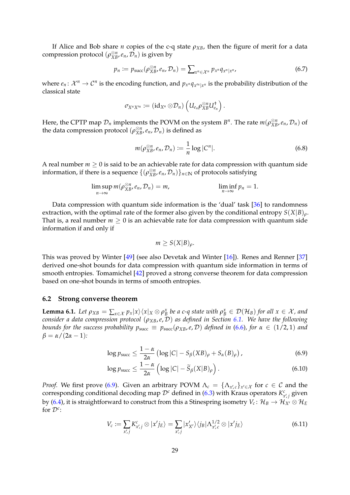If Alice and Bob share *n* copies of the c-q state  $\rho_{XB}$ , then the figure of merit for a data compression protocol  $(\rho_{XB}^{\otimes n}, e_n, \mathcal{D}_n)$  is given by

$$
p_n := p_{\text{succ}}(\rho_{XB}^{\otimes n}, e_n, \mathcal{D}_n) = \sum_{x^n \in \mathcal{X}^n} p_{x^n} q_{x^n | x^n}, \qquad (6.7)
$$

where  $e_n: \mathcal{X}^n \to \mathcal{C}^n$  is the encoding function, and  $p_{x^n}q_{x^m|x^n}$  is the probability distribution of the classical state

<span id="page-29-3"></span>
$$
\sigma_{X^nX'^n} \coloneqq \left(\operatorname{id}_{X^n}\otimes \mathcal{D}_n\right)\left(U_{e_n}\rho_{XB}^{\otimes n}U_{e_n}^\dagger\right).
$$

Here, the CPTP map  $\mathcal{D}_n$  implements the POVM on the system  $B^n$ . The rate  $m(\rho_{XB}^{\otimes n}, e_n, \mathcal{D}_n)$  of the data compression protocol  $(\rho_{XB}^{\otimes n}, e_n, \mathcal{D}_n)$  is defined as

<span id="page-29-4"></span>
$$
m(\rho_{XB}^{\otimes n}, e_n, \mathcal{D}_n) := \frac{1}{n} \log |C^n|.
$$
 (6.8)

A real number  $m \geq 0$  is said to be an achievable rate for data compression with quantum side information, if there is a sequence  $\{( \rho_{XB}^{\otimes n}, e_n, \mathcal{D}_n )\}_{n \in \mathbb{N}}$  of protocols satisfying

$$
\limsup_{n\to\infty} m(\rho_{XB}^{\otimes n}, e_n, \mathcal{D}_n) = m, \qquad \liminf_{n\to\infty} p_n = 1.
$$

Data compression with quantum side information is the 'dual' task [\[36\]](#page-39-15) to randomness extraction, with the optimal rate of the former also given by the conditional entropy *S*(*X*|*B*)*ρ*. That is, a real number  $m \geq 0$  is an achievable rate for data compression with quantum side information if and only if

<span id="page-29-2"></span><span id="page-29-0"></span>
$$
m \geq S(X|B)_{\rho}.
$$

This was proved by Winter [\[49\]](#page-40-7) (see also Devetak and Winter [\[16\]](#page-38-17)). Renes and Renner [\[37\]](#page-39-16) derived one-shot bounds for data compression with quantum side information in terms of smooth entropies. Tomamichel [\[42\]](#page-39-7) proved a strong converse theorem for data compression based on one-shot bounds in terms of smooth entropies.

#### **6.2 Strong converse theorem**

**Lemma 6.1.** Let  $\rho_{XB} = \sum_{x \in \mathcal{X}} p_x |x\rangle \langle x |_X \otimes \rho_B^x$  be a c-q state with  $\rho_B^x \in \mathcal{D}(\mathcal{H}_B)$  for all  $x \in \mathcal{X}$ , and *consider a data compression protocol* (*ρXB*,*e*, D) *as defined in Section [6.1.](#page-28-1) We have the following bounds for the success probability*  $p_{succ} \equiv p_{succ}(p_{XB}, e, D)$  *defined in* [\(6.6\)](#page-28-2)*, for*  $\alpha \in (1/2, 1)$  *and*  $\beta = \alpha/(2\alpha - 1)$ :

$$
\log p_{\text{succ}} \le \frac{1-\alpha}{2\alpha} \left( \log |C| - S_{\beta}(XB)_{\rho} + S_{\alpha}(B)_{\rho} \right),\tag{6.9}
$$

$$
\log p_{\text{succ}} \le \frac{1-\alpha}{2\alpha} \left( \log |C| - \widetilde{S}_{\beta}(X|B)_{\rho} \right). \tag{6.10}
$$

*Proof.* We first prove [\(6.9\)](#page-29-0). Given an arbitrary POVM  $\Lambda_c = {\Lambda_{x',c}}_{x' \in \mathcal{X}}$  for  $c \in \mathcal{C}$  and the corresponding conditional decoding map  $\mathcal{D}^c$  defined in [\(6.3\)](#page-28-3) with Kraus operators  $K_{x',j}^c$  given by [\(6.4\)](#page-28-4), it is straightforward to construct from this a Stinespring isometry  $V_c\colon\mathcal H_B\to\mathcal H_{X'}\otimes\mathcal H_E$ for D*<sup>c</sup>* :

<span id="page-29-1"></span>
$$
V_c := \sum_{x',j} K_{x',j}^c \otimes |x'j_E\rangle = \sum_{x',j} |x'_{X'}\rangle \langle j_B| \Lambda_{x',c}^{1/2} \otimes |x'j_E\rangle \tag{6.11}
$$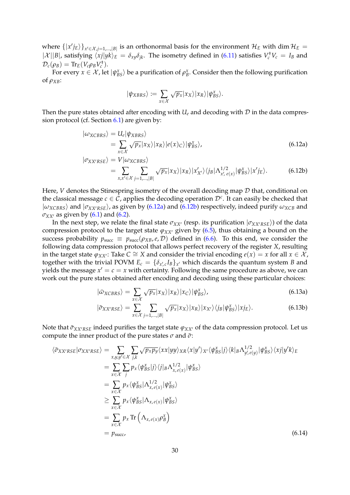where  $\{|x'\overline{j}_E\rangle\}_{x'\in\mathcal{X}}$ , $j=1,...,|B|$  is an orthonormal basis for the environment  $\mathcal{H}_E$  with dim  $\mathcal{H}_E$  $|\mathcal{X}||B|$ , satisfying  $\langle xj|yk \rangle_E = \delta_{xy}\delta_{jk}$ . The isometry defined in [\(6.11\)](#page-29-1) satisfies  $V_c^{\dagger}V_c = I_B$  and  $\mathcal{D}_c(\rho_B) = \text{Tr}_E(V_c \rho_B V_c^{\dagger}).$ 

For every  $x \in \mathcal{X}$ , let  $|\psi_{BS}^x\rangle$  be a purification of  $\rho_B^x$ . Consider then the following purification of  $\rho_{XB}$ :

<span id="page-30-1"></span><span id="page-30-0"></span>
$$
|\psi_{XBRS}\rangle := \sum_{x \in \mathcal{X}} \sqrt{p_x} |x_X\rangle |x_R\rangle |\psi_{BS}^x\rangle.
$$

Then the pure states obtained after encoding with  $U_e$  and decoding with  $D$  in the data compression protocol (cf. Section [6.1\)](#page-28-1) are given by:

$$
\begin{aligned} |\omega_{XCBRS}\rangle &= U_e |\psi_{XBRS}\rangle \\ &= \sum_{x \in \mathcal{X}} \sqrt{p_x} |x_X\rangle |x_R\rangle |e(x)_C\rangle |\psi_{BS}^x\rangle, \end{aligned} \tag{6.12a}
$$

$$
|\sigma_{XX'RSE}\rangle = V|\omega_{XCBRS}\rangle
$$
  
= 
$$
\sum_{x,x'\in\mathcal{X}}\sum_{j=1,\dots,|B|}\sqrt{p_x}|x_x\rangle|x_R\rangle|x_{X'}'\rangle\langle j_B|\Lambda_{x',e(x)}^{1/2}|\psi_{BS}^x\rangle|x'j_E\rangle.
$$
 (6.12b)

Here, *V* denotes the Stinespring isometry of the overall decoding map D that, conditional on the classical message  $c \in \mathcal{C}$ , applies the decoding operation  $\mathcal{D}^c$ . It can easily be checked that  $|\omega_{XCBRS}\rangle$  and  $|\sigma_{XX'RSE}\rangle$ , as given by [\(6.12a\)](#page-30-0) and [\(6.12b\)](#page-30-1) respectively, indeed purify  $\omega_{XCB}$  and  $\sigma_{XX'}$  as given by [\(6.1\)](#page-28-5) and [\(6.2\)](#page-28-6).

In the next step, we relate the final state  $\sigma_{XX}$  (resp. its purification  $|\sigma_{XX'RSE}\rangle$ ) of the data compression protocol to the target state  $\varphi_{XX}$  given by [\(6.5\)](#page-28-7), thus obtaining a bound on the success probability  $p_{succ} \equiv p_{succ}(p_{XB}, e, D)$  defined in [\(6.6\)](#page-28-2). To this end, we consider the following data compression protocol that allows perfect recovery of the register *X*, resulting in the target state  $\varphi_{XX}$ : Take  $C \cong X$  and consider the trivial encoding  $e(x) = x$  for all  $x \in \mathcal{X}$ , together with the trivial POVM  $E_c = {\delta_{x,c}} I_B$ , which discards the quantum system *B* and yields the message  $x' = c = x$  with certainty. Following the same procedure as above, we can work out the pure states obtained after encoding and decoding using these particular choices:

$$
|\bar{\omega}_{XCBRS}\rangle = \sum_{x \in \mathcal{X}} \sqrt{p_x} |x_X\rangle |x_R\rangle |x_C\rangle | \psi_{BS}^x\rangle,\tag{6.13a}
$$

<span id="page-30-2"></span>
$$
|\bar{\sigma}_{XX'RSE}\rangle = \sum_{x \in \mathcal{X}} \sum_{j=1,\dots,|B|} \sqrt{p_x} |x_x\rangle |x_R\rangle |x_{X'}\rangle \langle j_B | \psi_{BS}^x\rangle |x_{AE}\rangle. \tag{6.13b}
$$

Note that  $\bar{\sigma}_{XX'RSE}$  indeed purifies the target state  $\varphi_{XX'}$  of the data compression protocol. Let us compute the inner product of the pure states  $\sigma$  and  $\bar{\sigma}$ :

$$
\langle \bar{\sigma}_{XX'RSE} | \sigma_{XX'RSE} \rangle = \sum_{x,y,y' \in \mathcal{X}} \sum_{j,k} \sqrt{p_x p_y} \langle xx | yy \rangle_{XR} \langle x | y' \rangle_{X'} \langle \psi_{BS}^x | j \rangle \langle k |_{B} \Lambda_{y',e(y)}^{1/2} | \psi_{BS}^x \rangle \langle x | y' k \rangle_{E}
$$
  
\n
$$
= \sum_{x \in \mathcal{X}} \sum_{j} p_x \langle \psi_{BS}^x | j \rangle \langle j |_{B} \Lambda_{x,e(x)}^{1/2} | \psi_{BS}^x \rangle
$$
  
\n
$$
= \sum_{x \in \mathcal{X}} p_x \langle \psi_{BS}^x | \Lambda_{x,e(x)}^x | \psi_{BS}^x \rangle
$$
  
\n
$$
\geq \sum_{x \in \mathcal{X}} p_x \langle \psi_{BS}^x | \Lambda_{x,e(x)} | \psi_{BS}^x \rangle
$$
  
\n
$$
= \sum_{x \in \mathcal{X}} p_x \text{Tr} \left( \Lambda_{x,e(x)} \rho_B^x \right)
$$
  
\n
$$
= p_{succ} \qquad (6.14)
$$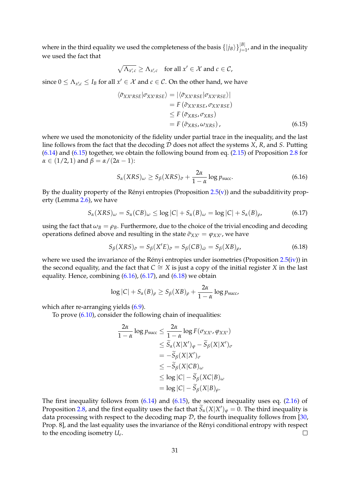where in the third equality we used the completeness of the basis  $\{|j_B\rangle\}_{j=1}^{|B|}$ , and in the inequality we used the fact that

$$
\sqrt{\Lambda_{x',c}} \ge \Lambda_{x',c} \quad \text{for all } x' \in \mathcal{X} \text{ and } c \in \mathcal{C},
$$

since  $0 \leq \Lambda_{x',c} \leq I_B$  for all  $x' \in \mathcal{X}$  and  $c \in \mathcal{C}$ . On the other hand, we have

$$
\langle \bar{\sigma}_{XX'RSE} | \sigma_{XX'RSE} \rangle = | \langle \bar{\sigma}_{XX'RSE} | \sigma_{XX'RSE} \rangle |
$$
  
=  $F (\bar{\sigma}_{XX'RSE}, \sigma_{XX'RSE})$   
 $\leq F (\bar{\sigma}_{XRS}, \sigma_{XRS})$   
=  $F (\bar{\sigma}_{XRS}, \omega_{XRS}),$  (6.15)

where we used the monotonicity of the fidelity under partial trace in the inequality, and the last line follows from the fact that the decoding D does not affect the systems *X*, *R*, and *S*. Putting [\(6.14\)](#page-30-2) and [\(6.15\)](#page-30-2) together, we obtain the following bound from eq. [\(2.15\)](#page-10-2) of Proposition [2.8](#page-10-1) for *α* ∈ (1/2, 1) and *β* = *α* / (2*α* − 1):

<span id="page-31-1"></span><span id="page-31-0"></span>
$$
S_{\alpha}(XRS)_{\omega} \ge S_{\beta}(XRS)_{\bar{\sigma}} + \frac{2\alpha}{1-\alpha} \log p_{\text{succ}}.
$$
 (6.16)

By the duality property of the Rényi entropies (Proposition  $2.5(v)$  $2.5(v)$ ) and the subadditivity property (Lemma [2.6\)](#page-8-3), we have

$$
S_{\alpha}(XRS)_{\omega} = S_{\alpha}(CB)_{\omega} \le \log |C| + S_{\alpha}(B)_{\omega} = \log |C| + S_{\alpha}(B)_{\rho}, \tag{6.17}
$$

using the fact that  $\omega_B = \rho_B$ . Furthermore, due to the choice of the trivial encoding and decoding operations defined above and resulting in the state  $\bar{\sigma}_{XX'} = \varphi_{XX'}$ , we have

<span id="page-31-2"></span>
$$
S_{\beta}(XRS)_{\bar{\sigma}} = S_{\beta}(X'E)_{\bar{\sigma}} = S_{\beta}(CB)_{\bar{\omega}} = S_{\beta}(XB)_{\rho},\tag{6.18}
$$

where we used the invariance of the Rényi entropies under isometries (Proposition  $2.5(iv)$  $2.5(iv)$ ) in the second equality, and the fact that  $C \cong X$  is just a copy of the initial register *X* in the last equality. Hence, combining  $(6.16)$ ,  $(6.17)$ , and  $(6.18)$  we obtain

$$
\log |C| + S_{\alpha}(B)_{\rho} \geq S_{\beta}(XB)_{\rho} + \frac{2\alpha}{1-\alpha} \log p_{\text{succ}}
$$

which after re-arranging yields  $(6.9)$ .

To prove [\(6.10\)](#page-29-2), consider the following chain of inequalities:

$$
\frac{2\alpha}{1-\alpha} \log p_{\text{succ}} \le \frac{2\alpha}{1-\alpha} \log F(\sigma_{XX'}, \varphi_{XX'})
$$
  
\n
$$
\le \widetilde{S}_{\alpha}(X|X')_{\varphi} - \widetilde{S}_{\beta}(X|X')_{\sigma}
$$
  
\n
$$
= -\widetilde{S}_{\beta}(X|X')_{\sigma}
$$
  
\n
$$
\le -\widetilde{S}_{\beta}(X|CB)_{\omega}
$$
  
\n
$$
\le \log |C| - \widetilde{S}_{\beta}(XC|B)_{\omega}
$$
  
\n
$$
= \log |C| - \widetilde{S}_{\beta}(X|B)_{\rho}.
$$

The first inequality follows from  $(6.14)$  and  $(6.15)$ , the second inequality uses eq.  $(2.16)$  of Proposition [2.8,](#page-10-1) and the first equality uses the fact that  $\widetilde{S}_\alpha(X|X')_\varphi = 0$ . The third inequality is data processing with respect to the decoding map  $D$ , the fourth inequality follows from [\[30,](#page-38-1) Prop. 8], and the last equality uses the invariance of the Rényi conditional entropy with respect  $\Box$ to the encoding isometry *U<sup>e</sup>* .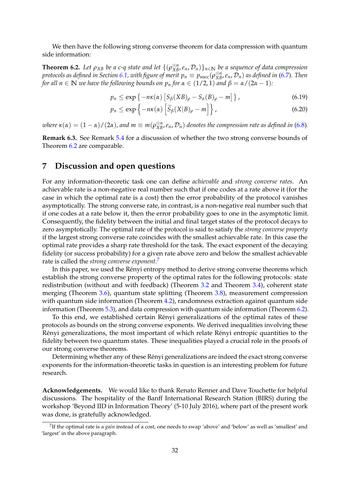We then have the following strong converse theorem for data compression with quantum side information:

<span id="page-32-1"></span>**Theorem 6.2.** Let  $\rho_{XB}$  be a c-q state and let  $\{(\rho_{XB}^{\otimes n}, e_n, D_n)\}_{n\in\mathbb{N}}$  be a sequence of data compression *protocols as defined in Section [6.1,](#page-28-1) with figure of merit*  $p_n\equiv p_{\text{succ}}(\rho_{XB}^{\otimes n},e_n,\mathcal{D}_n)$  *as defined in [\(6.7\)](#page-29-3). Then for all n*  $\in \mathbb{N}$  *we have the following bounds on*  $p_n$  *for*  $\alpha \in (1/2, 1)$  *and*  $\beta = \alpha/(2\alpha - 1)$ *:* 

$$
p_n \le \exp\left\{-n\kappa(\alpha)\left[S_\beta(XB)_\rho - S_\alpha(B)_\rho - m\right]\right\},\tag{6.19}
$$

$$
p_n \le \exp\left\{-n\kappa(\alpha)\left[\widetilde{S}_{\beta}(X|B)_{\rho} - m\right]\right\},\tag{6.20}
$$

*where*  $\kappa(\alpha) = (1-\alpha)/(2\alpha)$ , and  $m \equiv m(\rho_{XB}^{\otimes n},e_n,\mathcal{D}_n)$  denotes the compression rate as defined in [\(6.8\)](#page-29-4).

**Remark 6.3.** See Remark [5.4](#page-27-6) for a discussion of whether the two strong converse bounds of Theorem [6.2](#page-32-1) are comparable.

# <span id="page-32-0"></span>**7 Discussion and open questions**

For any information-theoretic task one can define *achievable* and *strong converse rates*. An achievable rate is a non-negative real number such that if one codes at a rate above it (for the case in which the optimal rate is a cost) then the error probability of the protocol vanishes asymptotically. The strong converse rate, in contrast, is a non-negative real number such that if one codes at a rate below it, then the error probability goes to one in the asymptotic limit. Consequently, the fidelity between the initial and final target states of the protocol decays to zero asymptotically. The optimal rate of the protocol is said to satisfy the *strong converse property* if the largest strong converse rate coincides with the smallest achievable rate. In this case the optimal rate provides a sharp rate threshold for the task. The exact exponent of the decaying fidelity (or success probability) for a given rate above zero and below the smallest achievable rate is called the *strong converse exponent*. [7](#page-32-2)

In this paper, we used the Rényi entropy method to derive strong converse theorems which establish the strong converse property of the optimal rates for the following protocols: state redistribution (without and with feedback) (Theorem [3.2](#page-16-0) and Theorem [3.4\)](#page-18-0), coherent state merging (Theorem [3.6\)](#page-20-2), quantum state splitting (Theorem [3.8\)](#page-21-3), measurement compression with quantum side information (Theorem [4.2\)](#page-24-2), randomness extraction against quantum side information (Theorem [5.3\)](#page-27-2), and data compression with quantum side information (Theorem [6.2\)](#page-32-1).

To this end, we established certain Rényi generalizations of the optimal rates of these protocols as bounds on the strong converse exponents. We derived inequalities involving these Rényi generalizations, the most important of which relate Rényi entropic quantities to the fidelity between two quantum states. These inequalities played a crucial role in the proofs of our strong converse theorems.

Determining whether any of these Renyi generalizations are indeed the exact strong converse ´ exponents for the information-theoretic tasks in question is an interesting problem for future research.

**Acknowledgements.** We would like to thank Renato Renner and Dave Touchette for helpful discussions. The hospitality of the Banff International Research Station (BIRS) during the workshop 'Beyond IID in Information Theory' (5-10 July 2016), where part of the present work was done, is gratefully acknowledged.

<span id="page-32-2"></span><sup>7</sup> If the optimal rate is a *gain* instead of a cost, one needs to swap 'above' and 'below' as well as 'smallest' and 'largest' in the above paragraph.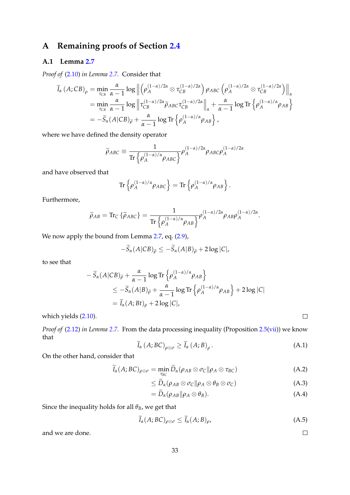# <span id="page-33-0"></span>**A Remaining proofs of Section [2.4](#page-8-0)**

# <span id="page-33-1"></span>**A.1 Lemma [2.7](#page-9-5)**

*Proof of* [\(2.10\)](#page-9-3) *in Lemma [2.7.](#page-9-5)* Consider that

$$
\widetilde{I}_{\alpha} (A; CB)_{\rho} = \min_{\tau_{CB}} \frac{\alpha}{\alpha - 1} \log \left\| \left( \rho_A^{(1-\alpha)/2\alpha} \otimes \tau_{CB}^{(1-\alpha)/2\alpha} \right) \rho_{ABC} \left( \rho_A^{(1-\alpha)/2\alpha} \otimes \tau_{CB}^{(1-\alpha)/2\alpha} \right) \right\|_{\alpha}
$$
\n
$$
= \min_{\tau_{CB}} \frac{\alpha}{\alpha - 1} \log \left\| \tau_{CB}^{(1-\alpha)/2\alpha} \widetilde{\rho}_{ABC} \tau_{CB}^{(1-\alpha)/2\alpha} \right\|_{\alpha} + \frac{\alpha}{\alpha - 1} \log \text{Tr} \left\{ \rho_A^{(1-\alpha)/\alpha} \rho_{AB} \right\}
$$
\n
$$
= -\widetilde{S}_{\alpha} (A|CB)_{\widetilde{\rho}} + \frac{\alpha}{\alpha - 1} \log \text{Tr} \left\{ \rho_A^{(1-\alpha)/\alpha} \rho_{AB} \right\},
$$

where we have defined the density operator

$$
\widetilde{\rho}_{ABC} \equiv \frac{1}{\text{Tr}\left\{\rho_A^{(1-\alpha)/\alpha} \rho_{ABC}\right\}} \rho_A^{(1-\alpha)/2\alpha} \rho_{ABC} \rho_A^{(1-\alpha)/2\alpha}
$$

and have observed that

$$
\operatorname{Tr}\left\{\rho_A^{(1-\alpha)/\alpha}\rho_{ABC}\right\} = \operatorname{Tr}\left\{\rho_A^{(1-\alpha)/\alpha}\rho_{AB}\right\}.
$$

Furthermore,

$$
\widetilde{\rho}_{AB} = \text{Tr}_C \left\{ \widetilde{\rho}_{ABC} \right\} = \frac{1}{\text{Tr} \left\{ \rho_A^{(1-\alpha)/\alpha} \rho_{AB} \right\}} \rho_A^{(1-\alpha)/2\alpha} \rho_{AB} \rho_A^{(1-\alpha)/2\alpha}.
$$

We now apply the bound from Lemma [2.7,](#page-9-5) eq.  $(2.9)$ ,

$$
-\widetilde{S}_{\alpha}(A|CB)\widetilde{_{\rho}}\leq -\widetilde{S}_{\alpha}(A|B)\widetilde{_{\rho}}+2\log|C|,
$$

to see that

$$
- \widetilde{S}_{\alpha}(A|CB)\widetilde{_{\rho}} + \frac{\alpha}{\alpha - 1}\log \text{Tr}\left\{\rho_A^{(1-\alpha)/\alpha}\rho_{AB}\right\}
$$
  
\n
$$
\leq -\widetilde{S}_{\alpha}(A|B)\widetilde{_{\rho}} + \frac{\alpha}{\alpha - 1}\log \text{Tr}\left\{\rho_A^{(1-\alpha)/\alpha}\rho_{AB}\right\} + 2\log |C|
$$
  
\n
$$
= \widetilde{I}_{\alpha}(A;Bt)_{\rho} + 2\log |C|,
$$

which yields [\(2.10\)](#page-9-3).

*Proof of* [\(2.12\)](#page-9-4) *in Lemma [2.7.](#page-9-5)* From the data processing inequality (Proposition [2.5\(](#page-7-0)[vii\)](#page-8-4)) we know that

$$
\widetilde{I}_{\alpha}\left(A;BC\right)_{\rho\otimes\sigma}\geq\widetilde{I}_{\alpha}\left(A;B\right)_{\rho}.\tag{A.1}
$$

 $\Box$ 

 $\Box$ 

On the other hand, consider that

$$
\widetilde{I}_{\alpha}(A;BC)_{\rho\otimes\sigma} = \min_{\tau_{BC}} \widetilde{D}_{\alpha}(\rho_{AB}\otimes\sigma_{C}||\rho_{A}\otimes\tau_{BC})
$$
\n(A.2)

$$
\leq \widetilde{D}_{\alpha}(\rho_{AB}\otimes \sigma_{C}||\rho_{A}\otimes \theta_{B}\otimes \sigma_{C}) \tag{A.3}
$$

$$
= \widetilde{D}_{\alpha}(\rho_{AB}||\rho_A \otimes \theta_B). \tag{A.4}
$$

Since the inequality holds for all *θB*, we get that

$$
\widetilde{I}_{\alpha}(A; BC)_{\rho \otimes \sigma} \le \widetilde{I}_{\alpha}(A; B)_{\rho}, \tag{A.5}
$$

and we are done.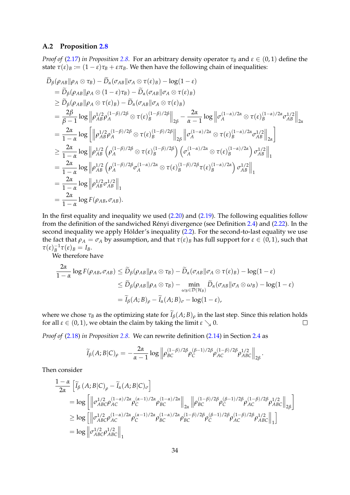## **A.2 Proposition [2.8](#page-10-1)**

*Proof of* [\(2.17\)](#page-10-7) *in Proposition* [2.8.](#page-10-1) For an arbitrary density operator  $\tau_B$  and  $\varepsilon \in (0,1)$  define the state  $\tau(\varepsilon)_B := (1 - \varepsilon)\tau_B + \varepsilon\tau_B$ . We then have the following chain of inequalities:

$$
D_{\beta}(\rho_{AB}||\rho_{A}\otimes\tau_{B}) - D_{\alpha}(\sigma_{AB}||\sigma_{A}\otimes\tau(\epsilon)_{B}) - \log(1-\epsilon)
$$
  
\n
$$
= \widetilde{D}_{\beta}(\rho_{AB}||\rho_{A}\otimes(1-\epsilon)\tau_{B}) - \widetilde{D}_{\alpha}(\sigma_{AB}||\sigma_{A}\otimes\tau(\epsilon)_{B})
$$
  
\n
$$
\geq \widetilde{D}_{\beta}(\rho_{AB}||\rho_{A}\otimes\tau(\epsilon)_{B}) - \widetilde{D}_{\alpha}(\sigma_{AB}||\sigma_{A}\otimes\tau(\epsilon)_{B})
$$
  
\n
$$
= \frac{2\beta}{\beta-1} \log \left\|\rho_{AB}^{1/2}\rho_{A}^{(1-\beta)/2\beta}\otimes\tau(\epsilon)_{B}^{(1-\beta)/2\beta}\right\|_{2\beta} - \frac{2\alpha}{\alpha-1} \log \left\|\sigma_{A}^{(1-\alpha)/2\alpha}\otimes\tau(\epsilon)_{B}^{(1-\alpha)/2\alpha}\sigma_{AB}^{1/2}\right\|_{2\alpha}
$$
  
\n
$$
= \frac{2\alpha}{1-\alpha} \log \left[\left\|\rho_{AB}^{1/2}\rho_{A}^{(1-\beta)/2\beta}\otimes\tau(\epsilon)_{B}^{(1-\beta)/2\beta}\right\|_{2\beta}\left\|\sigma_{A}^{(1-\alpha)/2\alpha}\otimes\tau(\epsilon)_{B}^{(1-\alpha)/2\alpha}\sigma_{AB}^{1/2}\right\|_{2\alpha}\right]
$$
  
\n
$$
\geq \frac{2\alpha}{1-\alpha} \log \left\|\rho_{AB}^{1/2}\left(\rho_{A}^{(1-\beta)/2\beta}\otimes\tau(\epsilon)_{B}^{(1-\beta)/2\beta}\right)\left(\sigma_{A}^{(1-\alpha)/2\alpha}\otimes\tau(\epsilon)_{B}^{(1-\alpha)/2\alpha}\right)\sigma_{AB}^{1/2}\right\|_{1}
$$
  
\n
$$
= \frac{2\alpha}{1-\alpha} \log \left\|\rho_{AB}^{1/2}\left(\rho_{A}^{(1-\beta)/2\beta}\sigma_{A}^{(1-\alpha)/2\alpha}\otimes\tau(\epsilon)_{B}^{(1-\beta)/2\beta}\tau(\epsilon)_{B}^{(1-\alpha)/2\alpha}\right)\sigma_{AB}^{1/2}\right\|_{1}
$$
  
\n<

In the first equality and inequality we used [\(2.20\)](#page-10-5) and [\(2.19\)](#page-10-6). The following equalities follow from the definition of the sandwiched Rényi divergence (see Definition [2.4\)](#page-7-2) and [\(2.22\)](#page-11-2). In the second inequality we apply Hölder's inequality [\(2.2\)](#page-6-2). For the second-to-last equality we use the fact that  $\rho_A = \sigma_A$  by assumption, and that  $\tau(\varepsilon)_B$  has full support for  $\varepsilon \in (0,1)$ , such that  $\tau(\varepsilon)_{B}^{-1}\tau(\varepsilon)_{B} = I_{B}.$ 

We therefore have

$$
\frac{2\alpha}{1-\alpha}\log F(\rho_{AB},\sigma_{AB}) \leq \widetilde{D}_{\beta}(\rho_{AB}||\rho_A \otimes \tau_B) - \widetilde{D}_{\alpha}(\sigma_{AB}||\sigma_A \otimes \tau(\varepsilon)_B) - \log(1-\varepsilon)
$$
  

$$
\leq \widetilde{D}_{\beta}(\rho_{AB}||\rho_A \otimes \tau_B) - \min_{\omega_B \in \mathcal{D}(\mathcal{H}_B)} \widetilde{D}_{\alpha}(\sigma_{AB}||\sigma_A \otimes \omega_B) - \log(1-\varepsilon)
$$
  

$$
= \widetilde{I}_{\beta}(A;B)_{\rho} - \widetilde{I}_{\alpha}(A;B)_{\sigma} - \log(1-\varepsilon),
$$

where we chose  $\tau_B$  as the optimizing state for  $\widetilde{I}_\beta(A; B)_\rho$  in the last step. Since this relation holds for all  $\varepsilon \in (0, 1)$ , we obtain the claim by taking the limit  $\varepsilon \searrow 0$ . for all  $\varepsilon \in (0, 1)$ , we obtain the claim by taking the limit  $\varepsilon \searrow 0$ .

*Proof of* [\(2.18\)](#page-10-3) *in Proposition [2.8.](#page-10-1)* We can rewrite definition [\(2.14\)](#page-10-0) in Section [2.4](#page-8-0) as

$$
\widetilde{I}_{\beta}(A;B|C)_{\rho} = -\frac{2\alpha}{\alpha-1} \log \left\| \rho_{BC}^{(1-\beta)/2\beta} \rho_{C}^{(\beta-1)/2\beta} \rho_{AC}^{(1-\beta)/2\beta} \rho_{ABC}^{1/2} \right\|_{2\beta}.
$$

Then consider

$$
\frac{1-\alpha}{2\alpha} \left[ \tilde{I}_{\beta} (A; B|C)_{\rho} - \tilde{I}_{\alpha} (A; B|C)_{\sigma} \right]
$$
\n
$$
= \log \left[ \left\| \sigma_{ABC}^{1/2} \rho_{AC}^{(1-\alpha)/2\alpha} \rho_{C}^{(\alpha-1)/2\alpha} \rho_{BC}^{(1-\alpha)/2\alpha} \right\|_{2\alpha} \left\| \rho_{BC}^{(1-\beta)/2\beta} \rho_{C}^{(\beta-1)/2\beta} \rho_{AC}^{(1-\beta)/2\beta} \rho_{ABC}^{(1-\beta)/2\beta} \right\|_{2\beta} \right]
$$
\n
$$
\geq \log \left[ \left\| \sigma_{ABC}^{1/2} \rho_{AC}^{(1-\alpha)/2\alpha} \rho_{C}^{(\alpha-1)/2\alpha} \rho_{BC}^{(1-\alpha)/2\alpha} \rho_{BC}^{(1-\beta)/2\beta} \rho_{C}^{(\beta-1)/2\beta} \rho_{AC}^{(1-\beta)/2\beta} \rho_{ABC}^{1/2} \right\|_{1} \right]
$$
\n
$$
= \log \left\| \sigma_{ABC}^{1/2} \rho_{ABC}^{1/2} \right\|_{1}
$$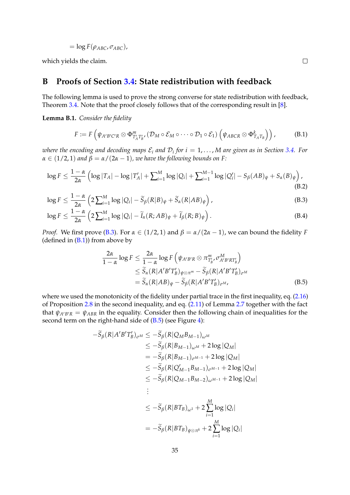$$
= \log F(\rho_{ABC}, \sigma_{ABC}),
$$

which yields the claim.

# <span id="page-35-0"></span>**B Proofs of Section [3.4:](#page-17-0) State redistribution with feedback**

The following lemma is used to prove the strong converse for state redistribution with feedback, Theorem [3.4.](#page-18-0) Note that the proof closely follows that of the corresponding result in [\[8\]](#page-37-3).

<span id="page-35-1"></span>**Lemma B.1.** *Consider the fidelity*

$$
F := F\left(\psi_{A'B'C'R} \otimes \Phi^m_{T'_A T'_B} (\mathcal{D}_M \circ \mathcal{E}_M \circ \cdots \circ \mathcal{D}_1 \circ \mathcal{E}_1) \left(\psi_{ABCR} \otimes \Phi^k_{T_A T_B}\right)\right),
$$
(B.1)

<span id="page-35-6"></span><span id="page-35-5"></span><span id="page-35-3"></span><span id="page-35-2"></span> $\Box$ 

 $\omega$ here the encoding and decoding maps  $\mathcal{E}_i$  and  $\mathcal{D}_i$  for  $i=1,\ldots,M$  are given as in Section [3.4.](#page-17-0) For  $\alpha \in (1/2, 1)$  *and*  $\beta = \alpha/(2\alpha - 1)$ *, we have the following bounds on F:* 

$$
\log F \le \frac{1-\alpha}{2\alpha} \left( \log |T_A| - \log |T'_A| + \sum_{i=1}^M \log |Q_i| + \sum_{i=1}^{M-1} \log |Q'_i| - S_\beta (AB)_\psi + S_\alpha (B)_\psi \right),\tag{B.2}
$$

$$
\log F \le \frac{1-\alpha}{2\alpha} \left( 2 \sum_{i=1}^{M} \log |Q_i| - \widetilde{S}_{\beta}(R|B)_{\psi} + \widetilde{S}_{\alpha}(R|AB)_{\psi} \right),\tag{B.3}
$$

$$
\log F \le \frac{1-\alpha}{2\alpha} \left( 2 \sum_{i=1}^{M} \log |Q_i| - \widetilde{I}_{\alpha}(R; AB)_{\psi} + \widetilde{I}_{\beta}(R; B)_{\psi} \right).
$$
 (B.4)

*Proof.* We first prove [\(B.3\)](#page-35-2). For  $\alpha \in (1/2, 1)$  and  $\beta = \alpha/(2\alpha - 1)$ , we can bound the fidelity *F* (defined in  $(B.1)$ ) from above by

<span id="page-35-4"></span>
$$
\frac{2\alpha}{1-\alpha}\log F \leq \frac{2\alpha}{1-\alpha}\log F\left(\psi_{A'B'R} \otimes \pi_{T'_B}^m, \sigma_{A'B'RT'_B}^M\right)
$$
  

$$
\leq \widetilde{S}_{\alpha}(R|A'B'T'_B)_{\psi \otimes \pi^m} - \widetilde{S}_{\beta}(R|A'B'T'_B)_{\sigma^M}
$$
  

$$
= \widetilde{S}_{\alpha}(R|AB)_{\psi} - \widetilde{S}_{\beta}(R|A'B'T'_B)_{\sigma^M},
$$
(B.5)

where we used the monotonicity of the fidelity under partial trace in the first inequality, eq.  $(2.16)$ of Proposition [2.8](#page-10-1) in the second inequality, and eq. [\(2.11\)](#page-9-2) of Lemma [2.7](#page-9-5) together with the fact that  $\psi_{A'B'R} = \psi_{ABR}$  in the equality. Consider then the following chain of inequalities for the second term on the right-hand side of  $(B.5)$  (see Figure [4\)](#page-18-2):

$$
-\widetilde{S}_{\beta}(R|A'B'T'_{B})_{\sigma^{M}} \leq -\widetilde{S}_{\beta}(R|Q_{M}B_{M-1})_{\omega^{M}}
$$
  
\n
$$
\leq -\widetilde{S}_{\beta}(R|B_{M-1})_{\omega^{M}} + 2\log|Q_{M}|
$$
  
\n
$$
= -\widetilde{S}_{\beta}(R|B_{M-1})_{\sigma^{M-1}} + 2\log|Q_{M}|
$$
  
\n
$$
\leq -\widetilde{S}_{\beta}(R|Q'_{M-1}B_{M-1})_{\sigma^{M-1}} + 2\log|Q_{M}|
$$
  
\n
$$
\leq -\widetilde{S}_{\beta}(R|Q_{M-1}B_{M-2})_{\omega^{M-1}} + 2\log|Q_{M}|
$$
  
\n
$$
\leq
$$
  
\n
$$
\leq -\widetilde{S}_{\beta}(R|BT_{B})_{\omega^{1}} + 2\sum_{i=1}^{M}\log|Q_{i}|
$$
  
\n
$$
= -\widetilde{S}_{\beta}(R|BT_{B})_{\psi\otimes\pi^{k}} + 2\sum_{i=1}^{M}\log|Q_{i}|
$$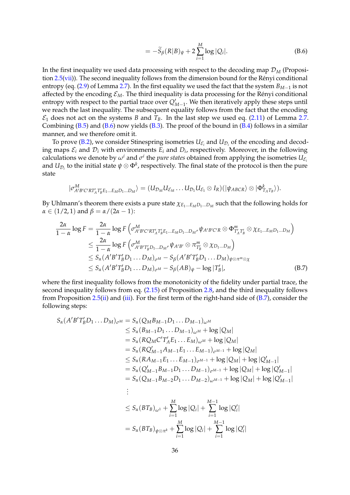$$
= -\widetilde{S}_{\beta}(R|B)_{\psi} + 2\sum_{i=1}^{M} \log |Q_i|.
$$
 (B.6)

In the first inequality we used data processing with respect to the decoding map  $\mathcal{D}_M$  (Proposition  $2.5(vii)$  $2.5(vii)$ ). The second inequality follows from the dimension bound for the Rényi conditional entropy (eq. [\(2.9\)](#page-9-0) of Lemma [2.7\)](#page-9-5). In the first equality we used the fact that the system *BM*−<sup>1</sup> is not affected by the encoding  $\mathcal{E}_M$ . The third inequality is data processing for the Rényi conditional entropy with respect to the partial trace over  $Q'_{M-1}$ . We then iteratively apply these steps until we reach the last inequality. The subsequent equality follows from the fact that the encoding  $\mathcal{E}_1$  does not act on the systems *B* and  $T_B$ . In the last step we used eq. [\(2.11\)](#page-9-2) of Lemma [2.7.](#page-9-5) Combining  $(B.5)$  and  $(B.6)$  now yields  $(B.3)$ . The proof of the bound in  $(B.4)$  follows in a similar manner, and we therefore omit it.

To prove [\(B.2\)](#page-35-6), we consider Stinespring isometries  $U_{\mathcal{E}_i}$  and  $U_{\mathcal{D}_i}$  of the encoding and decoding maps  $\mathcal{E}_i$  and  $\mathcal{D}_i$  with environments  $E_i$  and  $D_i$ , respectively. Moreover, in the following calculations we denote by  $\omega^i$  and  $\sigma^i$  the *pure states* obtained from applying the isometries  $U_{\mathcal{E}_i}$ and  $U_{\mathcal{D}_i}$  to the initial state  $\psi\otimes\Phi^k$ , respectively. The final state of the protocol is then the pure state

<span id="page-36-0"></span>
$$
|\sigma^M_{A'B'C'RT'_AT'_BE_1...E_MD_1...D_M}\rangle=(U_{\mathcal{D}_M}U_{\mathcal{E}_M}\dots U_{\mathcal{D}_1}U_{\mathcal{E}_1}\otimes I_R)(|\psi_{ABCR}\rangle\otimes|\Phi^k_{T_AT_B}\rangle).
$$

By Uhlmann's theorem there exists a pure state *χE*1...*EMD*1...*D<sup>M</sup>* such that the following holds for *α* ∈ (1/2, 1) and *β* = *α* / (2*α* − 1):

$$
\frac{2\alpha}{1-\alpha}\log F = \frac{2\alpha}{1-\alpha}\log F\left(\sigma_{A'B'C'RT'_AT'_BE_1...E_MD_1...D_M'}^{M} \psi_{A'B'C'R} \otimes \Phi_{T'_AT'_B}^{m} \otimes \chi_{E_1...E_MD_1...D_M}\right)
$$
\n
$$
\leq \frac{2\alpha}{1-\alpha}\log F\left(\sigma_{A'B'T'_BD_1...D_M'}^{M} \psi_{A'B'} \otimes \pi_{T'_B}^{m} \otimes \chi_{D_1...D_M}\right)
$$
\n
$$
\leq S_{\alpha}(A'B'T'_BD_1...D_M)_{\sigma^M} - S_{\beta}(A'B'T'_BD_1...D_M)_{\psi \otimes \pi^m \otimes \chi}
$$
\n
$$
\leq S_{\alpha}(A'B'T'_BD_1...D_M)_{\sigma^M} - S_{\beta}(AB)_{\psi} - \log |T'_B|, \tag{B.7}
$$

where the first inequality follows from the monotonicity of the fidelity under partial trace, the second inequality follows from eq. [\(2.15\)](#page-10-2) of Proposition [2.8,](#page-10-1) and the third inequality follows from Proposition  $2.5$ ([ii\)](#page-7-4) and [\(iii\)](#page-7-3). For the first term of the right-hand side of  $(B.7)$ , consider the following steps:

$$
S_{\alpha}(A'B'T'_{B}D_{1}...D_{M})_{\sigma^{M}} = S_{\alpha}(Q_{M}B_{M-1}D_{1}...D_{M-1})_{\omega^{M}}
$$
  
\n
$$
\leq S_{\alpha}(B_{M-1}D_{1}...D_{M-1})_{\omega^{M}} + \log |Q_{M}|
$$
  
\n
$$
= S_{\alpha}(RQ_{M}C'T'_{A}E_{1}...E_{M})_{\omega^{M}} + \log |Q_{M}|
$$
  
\n
$$
= S_{\alpha}(RQ'_{M-1}A_{M-1}E_{1}...E_{M-1})_{\sigma^{M-1}} + \log |Q_{M}|
$$
  
\n
$$
\leq S_{\alpha}(R A_{M-1}E_{1}...E_{M-1})_{\sigma^{M-1}} + \log |Q_{M}| + \log |Q'_{M-1}|
$$
  
\n
$$
= S_{\alpha}(Q'_{M-1}B_{M-1}D_{1}...D_{M-1})_{\sigma^{M-1}} + \log |Q_{M}| + \log |Q'_{M-1}|
$$
  
\n
$$
= S_{\alpha}(Q_{M-1}B_{M-2}D_{1}...D_{M-2})_{\omega^{M-1}} + \log |Q_{M}| + \log |Q'_{M-1}|
$$
  
\n
$$
\vdots
$$
  
\n
$$
\leq S_{\alpha}(BT_{B})_{\omega^{1}} + \sum_{i=1}^{M} \log |Q_{i}| + \sum_{i=1}^{M-1} \log |Q'_{i}|
$$
  
\n
$$
= S_{\alpha}(BT_{B})_{\psi \otimes \pi^{k}} + \sum_{i=1}^{M} \log |Q_{i}| + \sum_{i=1}^{M-1} \log |Q'_{i}|
$$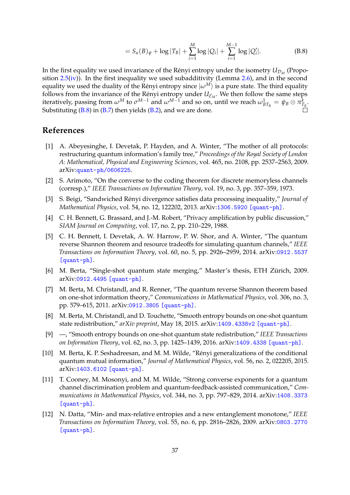$$
= S_{\alpha}(B)_{\psi} + \log |T_B| + \sum_{i=1}^{M} \log |Q_i| + \sum_{i=1}^{M-1} \log |Q'_i|.
$$
 (B.8)

In the first equality we used invariance of the Rényi entropy under the isometry  $U_{\mathcal{D}_M}$  (Proposition  $2.5(iv)$  $2.5(iv)$ ). In the first inequality we used subadditivity (Lemma [2.6\)](#page-8-3), and in the second equality we used the duality of the Rényi entropy since  $|w^M\rangle$  is a pure state. The third equality follows from the invariance of the Rényi entropy under  $U_{\mathcal{E}_M}$ . We then follow the same steps iteratively, passing from  $\omega^M$  to  $\sigma^{M-1}$  and  $\omega^{M-1}$  and so on, until we reach  $\omega_{BT_B}^1 = \psi_B \otimes \pi_{T_B}^k$ . Substituting  $(B.8)$  in  $(B.7)$  then yields  $(B.2)$ , and we are done.

# **References**

- <span id="page-37-8"></span>[1] A. Abeyesinghe, I. Devetak, P. Hayden, and A. Winter, "The mother of all protocols: restructuring quantum information's family tree," *Proceedings of the Royal Society of London A: Mathematical, Physical and Engineering Sciences*, vol. 465, no. 2108, pp. 2537–2563, 2009. arXiv:[quant-ph/0606225](http://arxiv.org/abs/quant-ph/0606225).
- <span id="page-37-0"></span>[2] S. Arimoto, "On the converse to the coding theorem for discrete memoryless channels (corresp.)," *IEEE Transactions on Information Theory*, vol. 19, no. 3, pp. 357–359, 1973.
- <span id="page-37-1"></span>[3] S. Beigi, "Sandwiched Renyi divergence satisfies data processing inequality," ´ *Journal of Mathematical Physics*, vol. 54, no. 12, 122202, 2013. arXiv:[1306.5920 \[quant-ph\]](http://arxiv.org/abs/1306.5920).
- <span id="page-37-11"></span>[4] C. H. Bennett, G. Brassard, and J.-M. Robert, "Privacy amplification by public discussion," *SIAM Journal on Computing*, vol. 17, no. 2, pp. 210–229, 1988.
- <span id="page-37-10"></span>[5] C. H. Bennett, I. Devetak, A. W. Harrow, P. W. Shor, and A. Winter, "The quantum reverse Shannon theorem and resource tradeoffs for simulating quantum channels," *IEEE Transactions on Information Theory*, vol. 60, no. 5, pp. 2926–2959, 2014. arXiv:[0912.5537](http://arxiv.org/abs/0912.5537) [\[quant-ph\]](http://arxiv.org/abs/0912.5537).
- <span id="page-37-4"></span>[6] M. Berta, "Single-shot quantum state merging," Master's thesis, ETH Zürich, 2009. arXiv:[0912.4495 \[quant-ph\]](http://arxiv.org/abs/0912.4495).
- <span id="page-37-9"></span>[7] M. Berta, M. Christandl, and R. Renner, "The quantum reverse Shannon theorem based on one-shot information theory," *Communications in Mathematical Physics*, vol. 306, no. 3, pp. 579–615, 2011. arXiv:[0912.3805 \[quant-ph\]](http://arxiv.org/abs/0912.3805).
- <span id="page-37-3"></span>[8] M. Berta, M. Christandl, and D. Touchette, "Smooth entropy bounds on one-shot quantum state redistribution," *arXiv preprint*, May 18, 2015. arXiv:[1409.4338v2 \[quant-ph\]](http://arxiv.org/abs/1409.4338v2).
- <span id="page-37-5"></span>[9] —, "Smooth entropy bounds on one-shot quantum state redistribution," *IEEE Transactions on Information Theory*, vol. 62, no. 3, pp. 1425–1439, 2016. arXiv:[1409.4338 \[quant-ph\]](http://arxiv.org/abs/1409.4338).
- <span id="page-37-6"></span>[10] M. Berta, K. P. Seshadreesan, and M. M. Wilde, "Rényi generalizations of the conditional quantum mutual information," *Journal of Mathematical Physics*, vol. 56, no. 2, 022205, 2015. arXiv:[1403.6102 \[quant-ph\]](http://arxiv.org/abs/1403.6102).
- <span id="page-37-2"></span>[11] T. Cooney, M. Mosonyi, and M. M. Wilde, "Strong converse exponents for a quantum channel discrimination problem and quantum-feedback-assisted communication," *Communications in Mathematical Physics*, vol. 344, no. 3, pp. 797–829, 2014. arXiv:[1408.3373](http://arxiv.org/abs/1408.3373) [\[quant-ph\]](http://arxiv.org/abs/1408.3373).
- <span id="page-37-7"></span>[12] N. Datta, "Min- and max-relative entropies and a new entanglement monotone," *IEEE Transactions on Information Theory*, vol. 55, no. 6, pp. 2816–2826, 2009. arXiv:[0803.2770](http://arxiv.org/abs/0803.2770) [\[quant-ph\]](http://arxiv.org/abs/0803.2770).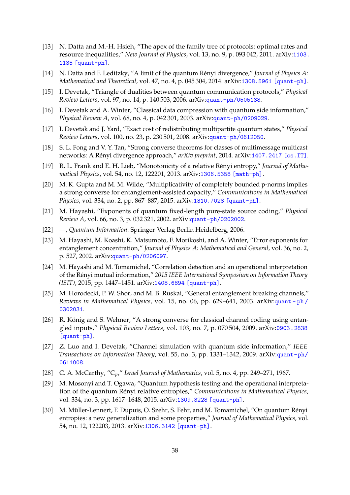- <span id="page-38-14"></span>[13] N. Datta and M.-H. Hsieh, "The apex of the family tree of protocols: optimal rates and resource inequalities," *New Journal of Physics*, vol. 13, no. 9, p. 093 042, 2011. arXiv:[1103.](http://arxiv.org/abs/1103.1135) [1135 \[quant-ph\]](http://arxiv.org/abs/1103.1135).
- <span id="page-38-11"></span>[14] N. Datta and F. Leditzky, "A limit of the quantum Rényi divergence," *Journal of Physics A: Mathematical and Theoretical*, vol. 47, no. 4, p. 045 304, 2014. arXiv:[1308.5961 \[quant-ph\]](http://arxiv.org/abs/1308.5961).
- <span id="page-38-15"></span>[15] I. Devetak, "Triangle of dualities between quantum communication protocols," *Physical Review Letters*, vol. 97, no. 14, p. 140 503, 2006. arXiv:[quant-ph/0505138](http://arxiv.org/abs/quant-ph/0505138).
- <span id="page-38-17"></span>[16] I. Devetak and A. Winter, "Classical data compression with quantum side information," *Physical Review A*, vol. 68, no. 4, p. 042 301, 2003. arXiv:[quant-ph/0209029](http://arxiv.org/abs/quant-ph/0209029).
- <span id="page-38-13"></span>[17] I. Devetak and J. Yard, "Exact cost of redistributing multipartite quantum states," *Physical Review Letters*, vol. 100, no. 23, p. 230 501, 2008. arXiv:[quant-ph/0612050](http://arxiv.org/abs/quant-ph/0612050).
- <span id="page-38-0"></span>[18] S. L. Fong and V. Y. Tan, "Strong converse theorems for classes of multimessage multicast networks: A Rényi divergence approach," arXiv preprint, 2014. arXiv:[1407.2417 \[cs.IT\]](http://arxiv.org/abs/1407.2417).
- <span id="page-38-2"></span>[19] R. L. Frank and E. H. Lieb, "Monotonicity of a relative Rényi entropy," *Journal of Mathematical Physics*, vol. 54, no. 12, 122201, 2013. arXiv:[1306.5358 \[math-ph\]](http://arxiv.org/abs/1306.5358).
- <span id="page-38-10"></span>[20] M. K. Gupta and M. M. Wilde, "Multiplicativity of completely bounded p-norms implies a strong converse for entanglement-assisted capacity," *Communications in Mathematical Physics*, vol. 334, no. 2, pp. 867–887, 2015. arXiv:[1310.7028 \[quant-ph\]](http://arxiv.org/abs/1310.7028).
- <span id="page-38-8"></span>[21] M. Hayashi, "Exponents of quantum fixed-length pure-state source coding," *Physical Review A*, vol. 66, no. 3, p. 032 321, 2002. arXiv:[quant-ph/0202002](http://arxiv.org/abs/quant-ph/0202002).
- <span id="page-38-7"></span>[22] —, *Quantum Information*. Springer-Verlag Berlin Heidelberg, 2006.
- <span id="page-38-6"></span>[23] M. Hayashi, M. Koashi, K. Matsumoto, F. Morikoshi, and A. Winter, "Error exponents for entanglement concentration," *Journal of Physics A: Mathematical and General*, vol. 36, no. 2, p. 527, 2002. arXiv:[quant-ph/0206097](http://arxiv.org/abs/quant-ph/0206097).
- <span id="page-38-5"></span>[24] M. Hayashi and M. Tomamichel, "Correlation detection and an operational interpretation of the Rényi mutual information," 2015 IEEE International Symposium on Information Theory *(ISIT)*, 2015, pp. 1447–1451. arXiv:[1408.6894 \[quant-ph\]](http://arxiv.org/abs/1408.6894).
- <span id="page-38-16"></span>[25] M. Horodecki, P. W. Shor, and M. B. Ruskai, "General entanglement breaking channels," *Reviews in Mathematical Physics*, vol. 15, no. 06, pp. 629–641, 2003. arXiv:[quant - ph /](http://arxiv.org/abs/quant-ph/0302031) [0302031](http://arxiv.org/abs/quant-ph/0302031).
- <span id="page-38-3"></span>[26] R. König and S. Wehner, "A strong converse for classical channel coding using entangled inputs," *Physical Review Letters*, vol. 103, no. 7, p. 070 504, 2009. arXiv:[0903.2838](http://arxiv.org/abs/0903.2838) [\[quant-ph\]](http://arxiv.org/abs/0903.2838).
- <span id="page-38-12"></span>[27] Z. Luo and I. Devetak, "Channel simulation with quantum side information," *IEEE Transactions on Information Theory*, vol. 55, no. 3, pp. 1331–1342, 2009. arXiv:[quant-ph/](http://arxiv.org/abs/quant-ph/0611008) [0611008](http://arxiv.org/abs/quant-ph/0611008).
- <span id="page-38-9"></span>[28] C. A. McCarthy, "C*p*," *Israel Journal of Mathematics*, vol. 5, no. 4, pp. 249–271, 1967.
- <span id="page-38-4"></span>[29] M. Mosonyi and T. Ogawa, "Quantum hypothesis testing and the operational interpretation of the quantum Rényi relative entropies," Communications in Mathematical Physics, vol. 334, no. 3, pp. 1617–1648, 2015. arXiv:[1309.3228 \[quant-ph\]](http://arxiv.org/abs/1309.3228).
- <span id="page-38-1"></span>[30] M. Müller-Lennert, F. Dupuis, O. Szehr, S. Fehr, and M. Tomamichel, "On quantum Rényi entropies: a new generalization and some properties," *Journal of Mathematical Physics*, vol. 54, no. 12, 122203, 2013. arXiv:[1306.3142 \[quant-ph\]](http://arxiv.org/abs/1306.3142).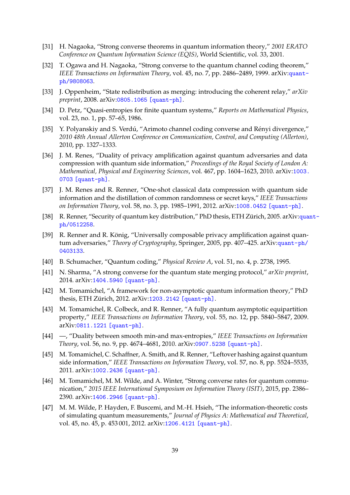- <span id="page-39-3"></span>[31] H. Nagaoka, "Strong converse theorems in quantum information theory," *2001 ERATO Conference on Quantum Information Science (EQIS)*, World Scientific, vol. 33, 2001.
- <span id="page-39-2"></span>[32] T. Ogawa and H. Nagaoka, "Strong converse to the quantum channel coding theorem," *IEEE Transactions on Information Theory*, vol. 45, no. 7, pp. 2486–2489, 1999. arXiv:[quant](http://arxiv.org/abs/quant-ph/9808063)[ph/9808063](http://arxiv.org/abs/quant-ph/9808063).
- <span id="page-39-12"></span>[33] J. Oppenheim, "State redistribution as merging: introducing the coherent relay," *arXiv preprint*, 2008. arXiv:[0805.1065 \[quant-ph\]](http://arxiv.org/abs/0805.1065).
- <span id="page-39-4"></span>[34] D. Petz, "Quasi-entropies for finite quantum systems," *Reports on Mathematical Physics*, vol. 23, no. 1, pp. 57–65, 1986.
- <span id="page-39-1"></span>[35] Y. Polyanskiy and S. Verdú, "Arimoto channel coding converse and Rényi divergence," *2010 48th Annual Allerton Conference on Communication, Control, and Computing (Allerton)*, 2010, pp. 1327–1333.
- <span id="page-39-15"></span>[36] J. M. Renes, "Duality of privacy amplification against quantum adversaries and data compression with quantum side information," *Proceedings of the Royal Society of London A: Mathematical, Physical and Engineering Sciences*, vol. 467, pp. 1604–1623, 2010. arXiv:[1003.](http://arxiv.org/abs/1003.0703) [0703 \[quant-ph\]](http://arxiv.org/abs/1003.0703).
- <span id="page-39-16"></span>[37] J. M. Renes and R. Renner, "One-shot classical data compression with quantum side information and the distillation of common randomness or secret keys," *IEEE Transactions on Information Theory*, vol. 58, no. 3, pp. 1985–1991, 2012. arXiv:[1008.0452 \[quant-ph\]](http://arxiv.org/abs/1008.0452).
- <span id="page-39-6"></span>[38] R. Renner, "Security of [qua](http://arxiv.org/abs/quant-ph/0512258)ntum key distribution," PhD thesis, ETH Zürich, 2005. arXiv: quant[ph/0512258](http://arxiv.org/abs/quant-ph/0512258).
- <span id="page-39-13"></span>[39] R. Renner and R. König, "Universally composable privacy amplification against quantum adversaries," *Theory of Cryptography*, Springer, 2005, pp. 407–425. arXiv:[quant-ph/](http://arxiv.org/abs/quant-ph/0403133) [0403133](http://arxiv.org/abs/quant-ph/0403133).
- <span id="page-39-8"></span>[40] B. Schumacher, "Quantum coding," *Physical Review A*, vol. 51, no. 4, p. 2738, 1995.
- <span id="page-39-0"></span>[41] N. Sharma, "A strong converse for the quantum state merging protocol," *arXiv preprint*, 2014. arXiv:[1404.5940 \[quant-ph\]](http://arxiv.org/abs/1404.5940).
- <span id="page-39-7"></span>[42] M. Tomamichel, "A framework for non-asymptotic quantum information theory," PhD thesis, ETH Zürich, 2012. arXiv: 1203. 2142 [quant-ph].
- <span id="page-39-10"></span>[43] M. Tomamichel, R. Colbeck, and R. Renner, "A fully quantum asymptotic equipartition property," *IEEE Transactions on Information Theory*, vol. 55, no. 12, pp. 5840–5847, 2009. arXiv:[0811.1221 \[quant-ph\]](http://arxiv.org/abs/0811.1221).
- <span id="page-39-11"></span>[44] —, "Duality between smooth min-and max-entropies," *IEEE Transactions on Information Theory*, vol. 56, no. 9, pp. 4674–4681, 2010. arXiv:[0907.5238 \[quant-ph\]](http://arxiv.org/abs/0907.5238).
- <span id="page-39-14"></span>[45] M. Tomamichel, C. Schaffner, A. Smith, and R. Renner, "Leftover hashing against quantum side information," *IEEE Transactions on Information Theory*, vol. 57, no. 8, pp. 5524–5535, 2011. arXiv:[1002.2436 \[quant-ph\]](http://arxiv.org/abs/1002.2436).
- <span id="page-39-5"></span>[46] M. Tomamichel, M. M. Wilde, and A. Winter, "Strong converse rates for quantum communication," *2015 IEEE International Symposium on Information Theory (ISIT)*, 2015, pp. 2386– 2390. arXiv:[1406.2946 \[quant-ph\]](http://arxiv.org/abs/1406.2946).
- <span id="page-39-9"></span>[47] M. M. Wilde, P. Hayden, F. Buscemi, and M.-H. Hsieh, "The information-theoretic costs of simulating quantum measurements," *Journal of Physics A: Mathematical and Theoretical*, vol. 45, no. 45, p. 453 001, 2012. arXiv:[1206.4121 \[quant-ph\]](http://arxiv.org/abs/1206.4121).